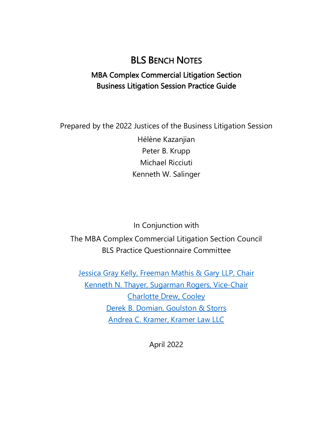# BLS BENCH NOTES

# MBA Complex Commercial Litigation Section Business Litigation Session Practice Guide

Prepared by the 2022 Justices of the Business Litigation Session

Hélène Kazanjian Peter B. Krupp Michael Ricciuti Kenneth W. Salinger

In Conjunction with The MBA Complex Commercial Litigation Section Council BLS Practice Questionnaire Committee

[Jessica Gray Kelly, Freeman Mathis & Gary](https://www.fmglaw.com/lawyers/jessica-gray-kelly/) LLP, Chair [Kenneth N. Thayer, Sugarman Rogers, Vice-Chair](https://sugarmanrogers.com/people/kenneth-thayer/) Charlotte [Drew, Cooley](https://www.cooley.com/people/charlotte-drew) Derek [B. Domian, Goulston & Storrs](https://www.goulstonstorrs.com/derek-b-domian/) Andrea [C. Kramer, Kramer Law LLC](http://www.kramerlawllc.com/andrea-kramer/) 

April 2022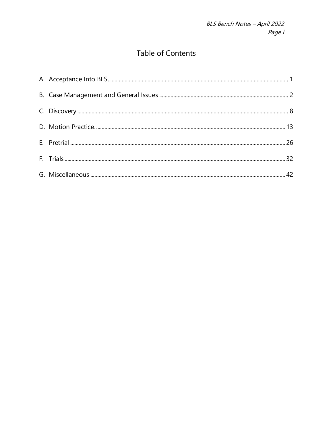# **Table of Contents**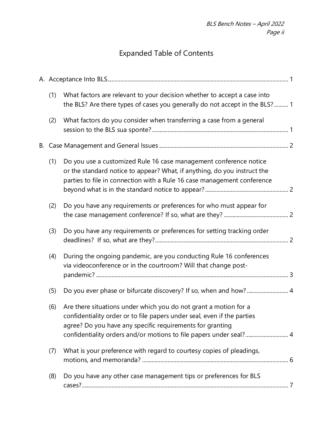# Expanded Table of Contents

| (1) | What factors are relevant to your decision whether to accept a case into<br>the BLS? Are there types of cases you generally do not accept in the BLS?  1                                                                                                                       |  |
|-----|--------------------------------------------------------------------------------------------------------------------------------------------------------------------------------------------------------------------------------------------------------------------------------|--|
| (2) | What factors do you consider when transferring a case from a general                                                                                                                                                                                                           |  |
|     |                                                                                                                                                                                                                                                                                |  |
| (1) | Do you use a customized Rule 16 case management conference notice<br>or the standard notice to appear? What, if anything, do you instruct the<br>parties to file in connection with a Rule 16 case management conference                                                       |  |
| (2) | Do you have any requirements or preferences for who must appear for                                                                                                                                                                                                            |  |
| (3) | Do you have any requirements or preferences for setting tracking order                                                                                                                                                                                                         |  |
| (4) | During the ongoing pandemic, are you conducting Rule 16 conferences<br>via videoconference or in the courtroom? Will that change post-                                                                                                                                         |  |
| (5) | Do you ever phase or bifurcate discovery? If so, when and how? 4                                                                                                                                                                                                               |  |
| (6) | Are there situations under which you do not grant a motion for a<br>confidentiality order or to file papers under seal, even if the parties<br>agree? Do you have any specific requirements for granting<br>confidentiality orders and/or motions to file papers under seal? 4 |  |
| (7) | What is your preference with regard to courtesy copies of pleadings,                                                                                                                                                                                                           |  |
| (8) | Do you have any other case management tips or preferences for BLS                                                                                                                                                                                                              |  |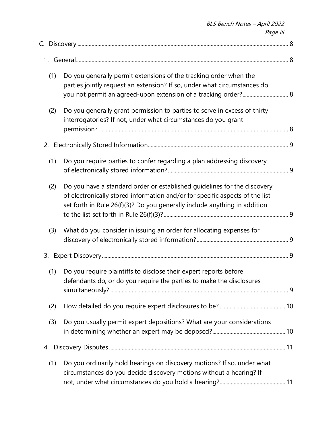|     | Page iii                                                                                                                                                                                                                              |  |
|-----|---------------------------------------------------------------------------------------------------------------------------------------------------------------------------------------------------------------------------------------|--|
|     |                                                                                                                                                                                                                                       |  |
|     |                                                                                                                                                                                                                                       |  |
| (1) | Do you generally permit extensions of the tracking order when the<br>parties jointly request an extension? If so, under what circumstances do                                                                                         |  |
| (2) | Do you generally grant permission to parties to serve in excess of thirty<br>interrogatories? If not, under what circumstances do you grant                                                                                           |  |
|     |                                                                                                                                                                                                                                       |  |
| (1) | Do you require parties to confer regarding a plan addressing discovery                                                                                                                                                                |  |
| (2) | Do you have a standard order or established guidelines for the discovery<br>of electronically stored information and/or for specific aspects of the list<br>set forth in Rule 26(f)(3)? Do you generally include anything in addition |  |
| (3) | What do you consider in issuing an order for allocating expenses for                                                                                                                                                                  |  |
| 3.  |                                                                                                                                                                                                                                       |  |
|     | (1) Do you require plaintiffs to disclose their expert reports before<br>defendants do, or do you require the parties to make the disclosures                                                                                         |  |
| (2) |                                                                                                                                                                                                                                       |  |
| (3) | Do you usually permit expert depositions? What are your considerations                                                                                                                                                                |  |
| 4.  |                                                                                                                                                                                                                                       |  |
| (1) | Do you ordinarily hold hearings on discovery motions? If so, under what<br>circumstances do you decide discovery motions without a hearing? If                                                                                        |  |

BLS Bench Notes – April 2022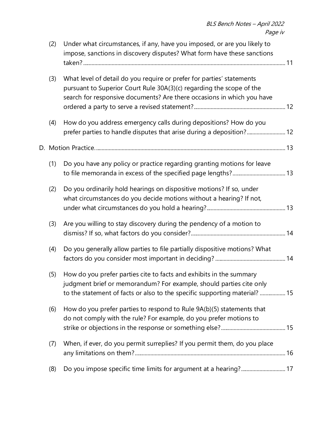| (2) | Under what circumstances, if any, have you imposed, or are you likely to<br>impose, sanctions in discovery disputes? What form have these sanctions                                                                     |  |
|-----|-------------------------------------------------------------------------------------------------------------------------------------------------------------------------------------------------------------------------|--|
| (3) | What level of detail do you require or prefer for parties' statements<br>pursuant to Superior Court Rule 30A(3)(c) regarding the scope of the<br>search for responsive documents? Are there occasions in which you have |  |
| (4) | How do you address emergency calls during depositions? How do you<br>prefer parties to handle disputes that arise during a deposition? 12                                                                               |  |
|     |                                                                                                                                                                                                                         |  |
| (1) | Do you have any policy or practice regarding granting motions for leave                                                                                                                                                 |  |
| (2) | Do you ordinarily hold hearings on dispositive motions? If so, under<br>what circumstances do you decide motions without a hearing? If not,                                                                             |  |
| (3) | Are you willing to stay discovery during the pendency of a motion to                                                                                                                                                    |  |
| (4) | Do you generally allow parties to file partially dispositive motions? What                                                                                                                                              |  |
| (5) | How do you prefer parties cite to facts and exhibits in the summary<br>judgment brief or memorandum? For example, should parties cite only<br>to the statement of facts or also to the specific supporting material? 15 |  |
| (6) | How do you prefer parties to respond to Rule 9A(b)(5) statements that<br>do not comply with the rule? For example, do you prefer motions to                                                                             |  |
| (7) | When, if ever, do you permit surreplies? If you permit them, do you place                                                                                                                                               |  |
| (8) | Do you impose specific time limits for argument at a hearing? 17                                                                                                                                                        |  |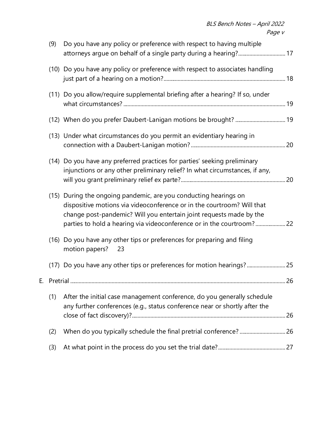| (9) | Do you have any policy or preference with respect to having multiple                                                                                                                                                                                                                       |  |
|-----|--------------------------------------------------------------------------------------------------------------------------------------------------------------------------------------------------------------------------------------------------------------------------------------------|--|
|     | (10) Do you have any policy or preference with respect to associates handling                                                                                                                                                                                                              |  |
|     | (11) Do you allow/require supplemental briefing after a hearing? If so, under                                                                                                                                                                                                              |  |
|     |                                                                                                                                                                                                                                                                                            |  |
|     | (13) Under what circumstances do you permit an evidentiary hearing in                                                                                                                                                                                                                      |  |
|     | (14) Do you have any preferred practices for parties' seeking preliminary<br>injunctions or any other preliminary relief? In what circumstances, if any,                                                                                                                                   |  |
|     | (15) During the ongoing pandemic, are you conducting hearings on<br>dispositive motions via videoconference or in the courtroom? Will that<br>change post-pandemic? Will you entertain joint requests made by the<br>parties to hold a hearing via videoconference or in the courtroom? 22 |  |
|     | (16) Do you have any other tips or preferences for preparing and filing<br>motion papers?<br>23                                                                                                                                                                                            |  |
|     | (17) Do you have any other tips or preferences for motion hearings? 25                                                                                                                                                                                                                     |  |
|     |                                                                                                                                                                                                                                                                                            |  |
| (1) | After the initial case management conference, do you generally schedule<br>any further conferences (e.g., status conference near or shortly after the                                                                                                                                      |  |
| (2) |                                                                                                                                                                                                                                                                                            |  |
| (3) |                                                                                                                                                                                                                                                                                            |  |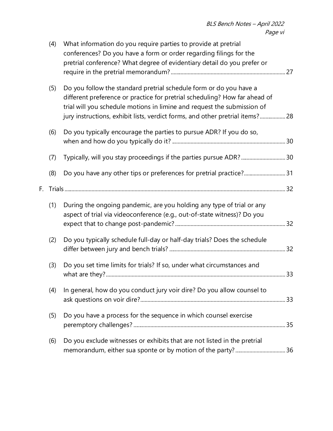|    | (4) | What information do you require parties to provide at pretrial<br>conferences? Do you have a form or order regarding filings for the<br>pretrial conference? What degree of evidentiary detail do you prefer or                                                                                              |  |
|----|-----|--------------------------------------------------------------------------------------------------------------------------------------------------------------------------------------------------------------------------------------------------------------------------------------------------------------|--|
|    | (5) | Do you follow the standard pretrial schedule form or do you have a<br>different preference or practice for pretrial scheduling? How far ahead of<br>trial will you schedule motions in limine and request the submission of<br>jury instructions, exhibit lists, verdict forms, and other pretrial items? 28 |  |
|    | (6) | Do you typically encourage the parties to pursue ADR? If you do so,                                                                                                                                                                                                                                          |  |
|    | (7) | Typically, will you stay proceedings if the parties pursue ADR?30                                                                                                                                                                                                                                            |  |
|    | (8) | Do you have any other tips or preferences for pretrial practice?31                                                                                                                                                                                                                                           |  |
| F. |     |                                                                                                                                                                                                                                                                                                              |  |
|    | (1) | During the ongoing pandemic, are you holding any type of trial or any<br>aspect of trial via videoconference (e.g., out-of-state witness)? Do you                                                                                                                                                            |  |
|    | (2) | Do you typically schedule full-day or half-day trials? Does the schedule                                                                                                                                                                                                                                     |  |
|    | (3) | Do you set time limits for trials? If so, under what circumstances and                                                                                                                                                                                                                                       |  |
|    | (4) | In general, how do you conduct jury voir dire? Do you allow counsel to                                                                                                                                                                                                                                       |  |
|    | (5) | Do you have a process for the sequence in which counsel exercise                                                                                                                                                                                                                                             |  |
|    | (6) | Do you exclude witnesses or exhibits that are not listed in the pretrial                                                                                                                                                                                                                                     |  |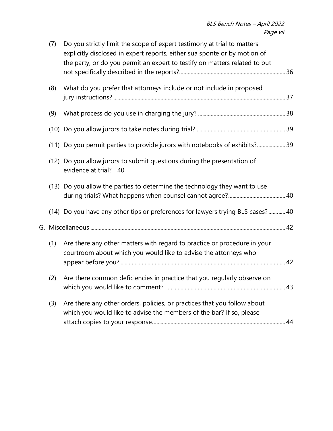| (7) | Do you strictly limit the scope of expert testimony at trial to matters<br>explicitly disclosed in expert reports, either sua sponte or by motion of<br>the party, or do you permit an expert to testify on matters related to but |  |
|-----|------------------------------------------------------------------------------------------------------------------------------------------------------------------------------------------------------------------------------------|--|
| (8) | What do you prefer that attorneys include or not include in proposed                                                                                                                                                               |  |
| (9) |                                                                                                                                                                                                                                    |  |
|     |                                                                                                                                                                                                                                    |  |
|     | (11) Do you permit parties to provide jurors with notebooks of exhibits?39                                                                                                                                                         |  |
|     | (12) Do you allow jurors to submit questions during the presentation of<br>evidence at trial?<br>- 40                                                                                                                              |  |
|     | (13) Do you allow the parties to determine the technology they want to use                                                                                                                                                         |  |
|     | (14) Do you have any other tips or preferences for lawyers trying BLS cases?40                                                                                                                                                     |  |
|     |                                                                                                                                                                                                                                    |  |
| (1) | Are there any other matters with regard to practice or procedure in your<br>courtroom about which you would like to advise the attorneys who                                                                                       |  |
| (2) | Are there common deficiencies in practice that you regularly observe on                                                                                                                                                            |  |
| (3) | Are there any other orders, policies, or practices that you follow about<br>which you would like to advise the members of the bar? If so, please                                                                                   |  |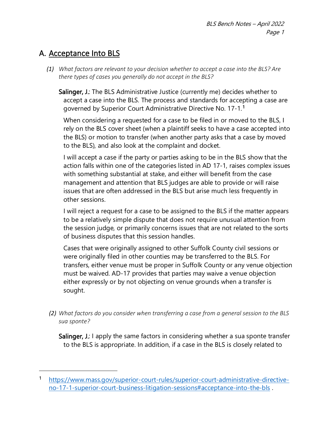# <span id="page-8-0"></span>A. Acceptance Into BLS

<span id="page-8-1"></span>*(1) What factors are relevant to your decision whether to accept a case into the BLS? Are there types of cases you generally do not accept in the BLS?*

Salinger, J.: The BLS Administrative Justice (currently me) decides whether to accept a case into the BLS. The process and standards for accepting a case are governed by Superior Court Administrative Directive No. 17-1.[1](#page-8-3)

When considering a requested for a case to be filed in or moved to the BLS, I rely on the BLS cover sheet (when a plaintiff seeks to have a case accepted into the BLS) or motion to transfer (when another party asks that a case by moved to the BLS), and also look at the complaint and docket.

I will accept a case if the party or parties asking to be in the BLS show that the action falls within one of the categories listed in AD 17-1, raises complex issues with something substantial at stake, and either will benefit from the case management and attention that BLS judges are able to provide or will raise issues that are often addressed in the BLS but arise much less frequently in other sessions.

I will reject a request for a case to be assigned to the BLS if the matter appears to be a relatively simple dispute that does not require unusual attention from the session judge, or primarily concerns issues that are not related to the sorts of business disputes that this session handles.

Cases that were originally assigned to other Suffolk County civil sessions or were originally filed in other counties may be transferred to the BLS. For transfers, either venue must be proper in Suffolk County or any venue objection must be waived. AD-17 provides that parties may waive a venue objection either expressly or by not objecting on venue grounds when a transfer is sought.

<span id="page-8-2"></span>*(2) What factors do you consider when transferring a case from a general session to the BLS sua sponte?* 

Salinger, J.: I apply the same factors in considering whether a sua sponte transfer to the BLS is appropriate. In addition, if a case in the BLS is closely related to

<span id="page-8-3"></span><sup>1</sup> [https://www.mass.gov/superior-court-rules/superior-court-administrative-directive](https://www.mass.gov/superior-court-rules/superior-court-administrative-directive-no-17-1-superior-court-business-litigation-sessions#acceptance-into-the-bls)[no-17-1-superior-court-business-litigation-sessions#acceptance-into-the-bls](https://www.mass.gov/superior-court-rules/superior-court-administrative-directive-no-17-1-superior-court-business-litigation-sessions#acceptance-into-the-bls) .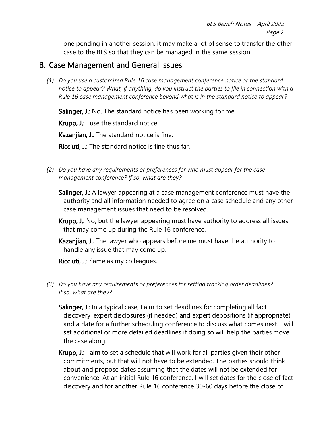one pending in another session, it may make a lot of sense to transfer the other case to the BLS so that they can be managed in the same session.

### <span id="page-9-0"></span>B. Case Management and General Issues

<span id="page-9-1"></span>*(1) Do you use a customized Rule 16 case management conference notice or the standard notice to appear? What, if anything, do you instruct the parties to file in connection with a Rule 16 case management conference beyond what is in the standard notice to appear?* 

Salinger, J.: No. The standard notice has been working for me.

Krupp, J.: I use the standard notice.

Kazanjian, J.: The standard notice is fine.

Ricciuti, J.: The standard notice is fine thus far.

<span id="page-9-2"></span>*(2) Do you have any requirements or preferences for who must appear for the case management conference? If so, what are they?* 

Salinger, J.: A lawyer appearing at a case management conference must have the authority and all information needed to agree on a case schedule and any other case management issues that need to be resolved.

Krupp, J.: No, but the lawyer appearing must have authority to address all issues that may come up during the Rule 16 conference.

Kazanjian, J.: The lawyer who appears before me must have the authority to handle any issue that may come up.

Ricciuti, J.: Same as my colleagues.

- <span id="page-9-3"></span>*(3) Do you have any requirements or preferences for setting tracking order deadlines? If so, what are they?* 
	- Salinger, J.: In a typical case, I aim to set deadlines for completing all fact discovery, expert disclosures (if needed) and expert depositions (if appropriate), and a date for a further scheduling conference to discuss what comes next. I will set additional or more detailed deadlines if doing so will help the parties move the case along.
	- Krupp, J.: I aim to set a schedule that will work for all parties given their other commitments, but that will not have to be extended. The parties should think about and propose dates assuming that the dates will not be extended for convenience. At an initial Rule 16 conference, I will set dates for the close of fact discovery and for another Rule 16 conference 30-60 days before the close of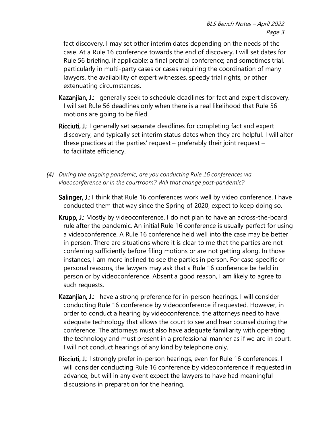fact discovery. I may set other interim dates depending on the needs of the case. At a Rule 16 conference towards the end of discovery, I will set dates for Rule 56 briefing, if applicable; a final pretrial conference; and sometimes trial, particularly in multi-party cases or cases requiring the coordination of many lawyers, the availability of expert witnesses, speedy trial rights, or other extenuating circumstances.

- Kazanjian, J.: I generally seek to schedule deadlines for fact and expert discovery. I will set Rule 56 deadlines only when there is a real likelihood that Rule 56 motions are going to be filed.
- Ricciuti, J.: I generally set separate deadlines for completing fact and expert discovery, and typically set interim status dates when they are helpful. I will alter these practices at the parties' request – preferably their joint request – to facilitate efficiency.
- <span id="page-10-0"></span>*(4) During the ongoing pandemic, are you conducting Rule 16 conferences via videoconference or in the courtroom? Will that change post-pandemic?* 
	- Salinger, J.: I think that Rule 16 conferences work well by video conference. I have conducted them that way since the Spring of 2020, expect to keep doing so.
	- Krupp, J.: Mostly by videoconference. I do not plan to have an across-the-board rule after the pandemic. An initial Rule 16 conference is usually perfect for using a videoconference. A Rule 16 conference held well into the case may be better in person. There are situations where it is clear to me that the parties are not conferring sufficiently before filing motions or are not getting along. In those instances, I am more inclined to see the parties in person. For case-specific or personal reasons, the lawyers may ask that a Rule 16 conference be held in person or by videoconference. Absent a good reason, I am likely to agree to such requests.
	- Kazanjian, J.: I have a strong preference for in-person hearings. I will consider conducting Rule 16 conference by videoconference if requested. However, in order to conduct a hearing by videoconference, the attorneys need to have adequate technology that allows the court to see and hear counsel during the conference. The attorneys must also have adequate familiarity with operating the technology and must present in a professional manner as if we are in court. I will not conduct hearings of any kind by telephone only.
	- Ricciuti, J.: I strongly prefer in-person hearings, even for Rule 16 conferences. I will consider conducting Rule 16 conference by videoconference if requested in advance, but will in any event expect the lawyers to have had meaningful discussions in preparation for the hearing.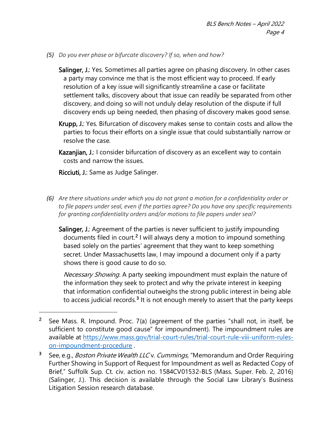<span id="page-11-0"></span>*(5) Do you ever phase or bifurcate discovery? If so, when and how?*

Salinger, J.: Yes. Sometimes all parties agree on phasing discovery. In other cases a party may convince me that is the most efficient way to proceed. If early resolution of a key issue will significantly streamline a case or facilitate settlement talks, discovery about that issue can readily be separated from other discovery, and doing so will not unduly delay resolution of the dispute if full discovery ends up being needed, then phasing of discovery makes good sense.

- Krupp, J.: Yes. Bifurcation of discovery makes sense to contain costs and allow the parties to focus their efforts on a single issue that could substantially narrow or resolve the case.
- Kazanjian, J.: I consider bifurcation of discovery as an excellent way to contain costs and narrow the issues.

Ricciuti, J.: Same as Judge Salinger.

- <span id="page-11-1"></span>*(6) Are there situations under which you do not grant a motion for a confidentiality order or to file papers under seal, even if the parties agree? Do you have any specific requirements for granting confidentiality orders and/or motions to file papers under seal?* 
	- Salinger, J.: Agreement of the parties is never sufficient to justify impounding documents filed in court.<sup>[2](#page-11-2)</sup> I will always deny a motion to impound something based solely on the parties' agreement that they want to keep something secret. Under Massachusetts law, I may impound a document only if a party shows there is good cause to do so.

Necessary Showing. A party seeking impoundment must explain the nature of the information they seek to protect and why the private interest in keeping that information confidential outweighs the strong public interest in being able to access judicial records.<sup>[3](#page-11-3)</sup> It is not enough merely to assert that the party keeps

<span id="page-11-2"></span><sup>2</sup> See Mass. R. Impound. Proc. 7(a) (agreement of the parties "shall not, in itself, be sufficient to constitute good cause" for impoundment). The impoundment rules are available at [https://www.mass.gov/trial-court-rules/trial-court-rule-viii-uniform-rules](https://www.mass.gov/trial-court-rules/trial-court-rule-viii-uniform-rules-on-impoundment-procedure)[on-impoundment-procedure](https://www.mass.gov/trial-court-rules/trial-court-rule-viii-uniform-rules-on-impoundment-procedure) .

<span id="page-11-3"></span><sup>3</sup> See, e.g., *Boston Private Wealth LLC v. Cummings*, "Memorandum and Order Requiring Further Showing in Support of Request for Impoundment as well as Redacted Copy of Brief," Suffolk Sup. Ct. civ. action no. 1584CV01532-BLS (Mass. Super. Feb. 2, 2016) (Salinger, J.). This decision is available through the Social Law Library's Business Litigation Session research database.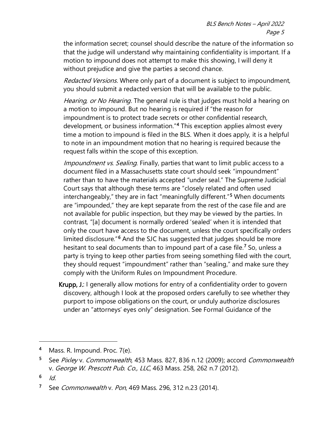the information secret; counsel should describe the nature of the information so that the judge will understand why maintaining confidentiality is important. If a motion to impound does not attempt to make this showing, I will deny it without prejudice and give the parties a second chance.

Redacted Versions. Where only part of a document is subject to impoundment, you should submit a redacted version that will be available to the public.

Hearing, or No Hearing. The general rule is that judges must hold a hearing on a motion to impound. But no hearing is required if "the reason for impoundment is to protect trade secrets or other confidential research, development, or business information."[4](#page-12-0) This exception applies almost every time a motion to impound is filed in the BLS. When it does apply, it is a helpful to note in an impoundment motion that no hearing is required because the request falls within the scope of this exception.

Impoundment vs. Sealing. Finally, parties that want to limit public access to a document filed in a Massachusetts state court should seek "impoundment" rather than to have the materials accepted "under seal." The Supreme Judicial Court says that although these terms are "closely related and often used interchangeably," they are in fact "meaningfully different."<sup>[5](#page-12-1)</sup> When documents are "impounded," they are kept separate from the rest of the case file and are not available for public inspection, but they may be viewed by the parties. In contrast, "[a] document is normally ordered 'sealed' when it is intended that only the court have access to the document, unless the court specifically orders limited disclosure.<sup>"[6](#page-12-2)</sup> And the SJC has suggested that judges should be more hesitant to seal documents than to impound part of a case file.<sup>[7](#page-12-3)</sup> So, unless a party is trying to keep other parties from seeing something filed with the court, they should request "impoundment" rather than "sealing," and make sure they comply with the Uniform Rules on Impoundment Procedure.

Krupp, J.: I generally allow motions for entry of a confidentiality order to govern discovery, although I look at the proposed orders carefully to see whether they purport to impose obligations on the court, or unduly authorize disclosures under an "attorneys' eyes only" designation. See Formal Guidance of the

<span id="page-12-0"></span>Mass. R. Impound. Proc. 7(e).

<span id="page-12-1"></span><sup>5</sup> See Pixley v. Commonwealth, 453 Mass. 827, 836 n.12 (2009); accord Commonwealth v. George W. Prescott Pub. Co., LLC, 463 Mass. 258, 262 n.7 (2012).

<span id="page-12-2"></span> $6/d$ 

<span id="page-12-3"></span><sup>&</sup>lt;sup>7</sup> See *Commonwealth v. Pon*, 469 Mass. 296, 312 n.23 (2014).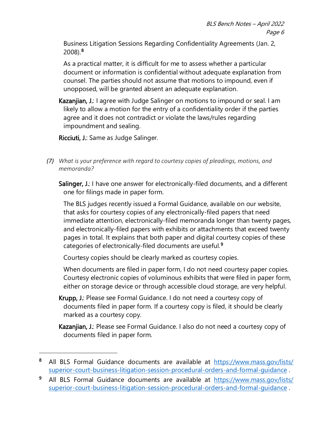Business Litigation Sessions Regarding Confidentiality Agreements (Jan. 2, 2008).[8](#page-13-1)

As a practical matter, it is difficult for me to assess whether a particular document or information is confidential without adequate explanation from counsel. The parties should not assume that motions to impound, even if unopposed, will be granted absent an adequate explanation.

Kazanjian, J.: I agree with Judge Salinger on motions to impound or seal. I am likely to allow a motion for the entry of a confidentiality order if the parties agree and it does not contradict or violate the laws/rules regarding impoundment and sealing.

Ricciuti, J.: Same as Judge Salinger.

- <span id="page-13-0"></span>*(7) What is your preference with regard to courtesy copies of pleadings, motions, and memoranda?* 
	- Salinger, J.: I have one answer for electronically-filed documents, and a different one for filings made in paper form.

The BLS judges recently issued a Formal Guidance, available on our website, that asks for courtesy copies of any electronically-filed papers that need immediate attention, electronically-filed memoranda longer than twenty pages, and electronically-filed papers with exhibits or attachments that exceed twenty pages in total. It explains that both paper and digital courtesy copies of these categories of electronically-filed documents are useful.[9](#page-13-2)

Courtesy copies should be clearly marked as courtesy copies.

When documents are filed in paper form, I do not need courtesy paper copies. Courtesy electronic copies of voluminous exhibits that were filed in paper form, either on storage device or through accessible cloud storage, are very helpful.

Krupp, J.: Please see Formal Guidance. I do not need a courtesy copy of documents filed in paper form. If a courtesy copy is filed, it should be clearly marked as a courtesy copy.

Kazanjian, J.: Please see Formal Guidance. I also do not need a courtesy copy of documents filed in paper form.

<span id="page-13-1"></span><sup>8</sup> All BLS Formal Guidance documents are available at [https://www.mass.gov/lists/](https://www.mass.gov/lists/superior-court-business-litigation-session-procedural-orders-and-formal-guidance) [superior-court-business-litigation-session-procedural-orders-and-formal-guidance](https://www.mass.gov/lists/superior-court-business-litigation-session-procedural-orders-and-formal-guidance) .

<span id="page-13-2"></span><sup>9</sup> All BLS Formal Guidance documents are available at [https://www.mass.gov/lists/](https://www.mass.gov/lists/superior-court-business-litigation-session-procedural-orders-and-formal-guidance) [superior-court-business-litigation-session-procedural-orders-and-formal-guidance](https://www.mass.gov/lists/superior-court-business-litigation-session-procedural-orders-and-formal-guidance) .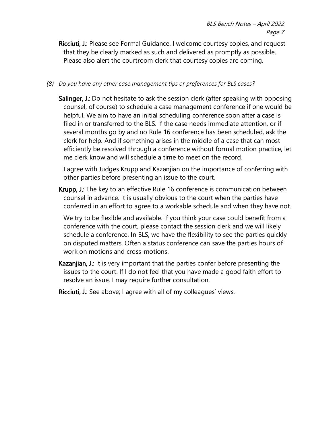Ricciuti, J.: Please see Formal Guidance. I welcome courtesy copies, and request that they be clearly marked as such and delivered as promptly as possible. Please also alert the courtroom clerk that courtesy copies are coming.

<span id="page-14-0"></span>*(8) Do you have any other case management tips or preferences for BLS cases?*

Salinger, J.: Do not hesitate to ask the session clerk (after speaking with opposing counsel, of course) to schedule a case management conference if one would be helpful. We aim to have an initial scheduling conference soon after a case is filed in or transferred to the BLS. If the case needs immediate attention, or if several months go by and no Rule 16 conference has been scheduled, ask the clerk for help. And if something arises in the middle of a case that can most efficiently be resolved through a conference without formal motion practice, let me clerk know and will schedule a time to meet on the record.

I agree with Judges Krupp and Kazanjian on the importance of conferring with other parties before presenting an issue to the court.

Krupp, J.: The key to an effective Rule 16 conference is communication between counsel in advance. It is usually obvious to the court when the parties have conferred in an effort to agree to a workable schedule and when they have not.

We try to be flexible and available. If you think your case could benefit from a conference with the court, please contact the session clerk and we will likely schedule a conference. In BLS, we have the flexibility to see the parties quickly on disputed matters. Often a status conference can save the parties hours of work on motions and cross-motions.

- Kazanjian, J.: It is very important that the parties confer before presenting the issues to the court. If I do not feel that you have made a good faith effort to resolve an issue, I may require further consultation.
- Ricciuti, J.: See above; I agree with all of my colleagues' views.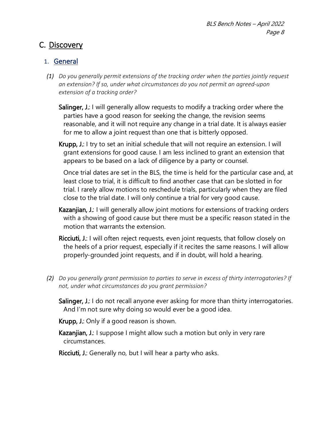### <span id="page-15-0"></span>C. Discovery

### <span id="page-15-1"></span>1. General

- <span id="page-15-2"></span>*(1) Do you generally permit extensions of the tracking order when the parties jointly request an extension? If so, under what circumstances do you not permit an agreed-upon extension of a tracking order?* 
	- Salinger, J.: I will generally allow requests to modify a tracking order where the parties have a good reason for seeking the change, the revision seems reasonable, and it will not require any change in a trial date. It is always easier for me to allow a joint request than one that is bitterly opposed.
	- Krupp, J.: I try to set an initial schedule that will not require an extension. I will grant extensions for good cause. I am less inclined to grant an extension that appears to be based on a lack of diligence by a party or counsel.

Once trial dates are set in the BLS, the time is held for the particular case and, at least close to trial, it is difficult to find another case that can be slotted in for trial. I rarely allow motions to reschedule trials, particularly when they are filed close to the trial date. I will only continue a trial for very good cause.

- Kazanjian, J.: I will generally allow joint motions for extensions of tracking orders with a showing of good cause but there must be a specific reason stated in the motion that warrants the extension.
- Ricciuti, J.: I will often reject requests, even joint requests, that follow closely on the heels of a prior request, especially if it recites the same reasons. I will allow properly-grounded joint requests, and if in doubt, will hold a hearing.
- <span id="page-15-3"></span>*(2) Do you generally grant permission to parties to serve in excess of thirty interrogatories? If not, under what circumstances do you grant permission?* 
	- Salinger, J.: I do not recall anyone ever asking for more than thirty interrogatories. And I'm not sure why doing so would ever be a good idea.

Krupp, J.: Only if a good reason is shown.

- Kazanjian, J.: I suppose I might allow such a motion but only in very rare circumstances.
- Ricciuti, J.: Generally no, but I will hear a party who asks.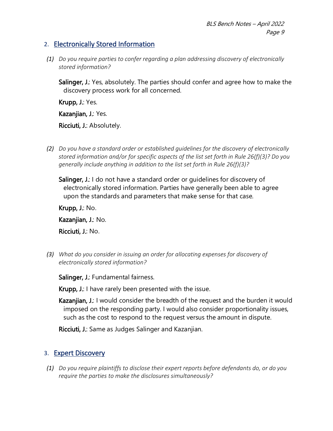#### <span id="page-16-0"></span>2. Electronically Stored Information

<span id="page-16-1"></span>*(1) Do you require parties to confer regarding a plan addressing discovery of electronically stored information?* 

Salinger, J.: Yes, absolutely. The parties should confer and agree how to make the discovery process work for all concerned.

Krupp, J.: Yes.

Kazanjian, J.: Yes.

Ricciuti, J.: Absolutely.

<span id="page-16-2"></span>*(2) Do you have a standard order or established guidelines for the discovery of electronically stored information and/or for specific aspects of the list set forth in Rule 26(f)(3)? Do you generally include anything in addition to the list set forth in Rule 26(f)(3)?*

Salinger, J.: I do not have a standard order or quidelines for discovery of electronically stored information. Parties have generally been able to agree upon the standards and parameters that make sense for that case.

Krupp, J.: No. Kazanjian, J.: No.

Ricciuti, J.: No.

<span id="page-16-3"></span>*(3) What do you consider in issuing an order for allocating expenses for discovery of electronically stored information?* 

Salinger, J.: Fundamental fairness.

Krupp, J.: I have rarely been presented with the issue.

Kazanjian, J.: I would consider the breadth of the request and the burden it would imposed on the responding party. I would also consider proportionality issues, such as the cost to respond to the request versus the amount in dispute.

Ricciuti, J.: Same as Judges Salinger and Kazanjian.

### <span id="page-16-4"></span>3. Expert Discovery

<span id="page-16-5"></span>*(1) Do you require plaintiffs to disclose their expert reports before defendants do, or do you require the parties to make the disclosures simultaneously?*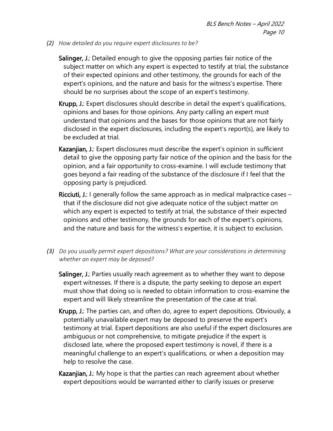<span id="page-17-0"></span>*(2) How detailed do you require expert disclosures to be?*

Salinger, J.: Detailed enough to give the opposing parties fair notice of the subject matter on which any expert is expected to testify at trial, the substance of their expected opinions and other testimony, the grounds for each of the expert's opinions, and the nature and basis for the witness's expertise. There should be no surprises about the scope of an expert's testimony.

- Krupp, J.: Expert disclosures should describe in detail the expert's qualifications, opinions and bases for those opinions. Any party calling an expert must understand that opinions and the bases for those opinions that are not fairly disclosed in the expert disclosures, including the expert's report(s), are likely to be excluded at trial.
- Kazanjian, J.: Expert disclosures must describe the expert's opinion in sufficient detail to give the opposing party fair notice of the opinion and the basis for the opinion, and a fair opportunity to cross-examine. I will exclude testimony that goes beyond a fair reading of the substance of the disclosure if I feel that the opposing party is prejudiced.
- Ricciuti, J.: I generally follow the same approach as in medical malpractice cases that if the disclosure did not give adequate notice of the subject matter on which any expert is expected to testify at trial, the substance of their expected opinions and other testimony, the grounds for each of the expert's opinions, and the nature and basis for the witness's expertise, it is subject to exclusion.
- <span id="page-17-1"></span>*(3) Do you usually permit expert depositions? What are your considerations in determining whether an expert may be deposed?*

Salinger, J.: Parties usually reach agreement as to whether they want to depose expert witnesses. If there is a dispute, the party seeking to depose an expert must show that doing so is needed to obtain information to cross-examine the expert and will likely streamline the presentation of the case at trial.

- Krupp, J.: The parties can, and often do, agree to expert depositions. Obviously, a potentially unavailable expert may be deposed to preserve the expert's testimony at trial. Expert depositions are also useful if the expert disclosures are ambiguous or not comprehensive, to mitigate prejudice if the expert is disclosed late, where the proposed expert testimony is novel, if there is a meaningful challenge to an expert's qualifications, or when a deposition may help to resolve the case.
- Kazanjian, J.: My hope is that the parties can reach agreement about whether expert depositions would be warranted either to clarify issues or preserve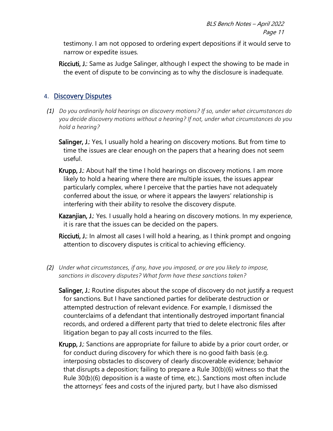testimony. I am not opposed to ordering expert depositions if it would serve to narrow or expedite issues.

Ricciuti, J.: Same as Judge Salinger, although I expect the showing to be made in the event of dispute to be convincing as to why the disclosure is inadequate.

### <span id="page-18-0"></span>4. Discovery Disputes

- <span id="page-18-1"></span>*(1) Do you ordinarily hold hearings on discovery motions? If so, under what circumstances do you decide discovery motions without a hearing? If not, under what circumstances do you hold a hearing?*
	- Salinger, J.: Yes, I usually hold a hearing on discovery motions. But from time to time the issues are clear enough on the papers that a hearing does not seem useful.
	- Krupp, J.: About half the time I hold hearings on discovery motions. I am more likely to hold a hearing where there are multiple issues, the issues appear particularly complex, where I perceive that the parties have not adequately conferred about the issue, or where it appears the lawyers' relationship is interfering with their ability to resolve the discovery dispute.
	- Kazanjian, J.: Yes. I usually hold a hearing on discovery motions. In my experience, it is rare that the issues can be decided on the papers.

Ricciuti, J.: In almost all cases I will hold a hearing, as I think prompt and ongoing attention to discovery disputes is critical to achieving efficiency.

- <span id="page-18-2"></span>*(2) Under what circumstances, if any, have you imposed, or are you likely to impose, sanctions in discovery disputes? What form have these sanctions taken?* 
	- Salinger, J.: Routine disputes about the scope of discovery do not justify a request for sanctions. But I have sanctioned parties for deliberate destruction or attempted destruction of relevant evidence. For example, I dismissed the counterclaims of a defendant that intentionally destroyed important financial records, and ordered a different party that tried to delete electronic files after litigation began to pay all costs incurred to the files.
	- Krupp, J.: Sanctions are appropriate for failure to abide by a prior court order, or for conduct during discovery for which there is no good faith basis (e.g. interposing obstacles to discovery of clearly discoverable evidence; behavior that disrupts a deposition; failing to prepare a Rule 30(b)(6) witness so that the Rule 30(b)(6) deposition is a waste of time, etc.). Sanctions most often include the attorneys' fees and costs of the injured party, but I have also dismissed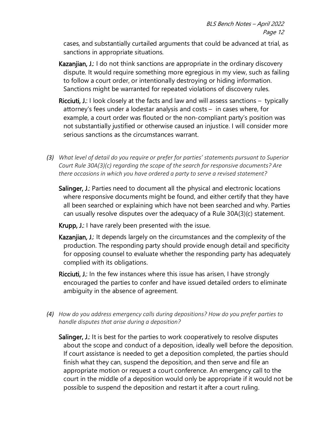cases, and substantially curtailed arguments that could be advanced at trial, as sanctions in appropriate situations.

- Kazanjian, J.: I do not think sanctions are appropriate in the ordinary discovery dispute. It would require something more egregious in my view, such as failing to follow a court order, or intentionally destroying or hiding information. Sanctions might be warranted for repeated violations of discovery rules.
- Ricciuti, J.: I look closely at the facts and law and will assess sanctions typically attorney's fees under a lodestar analysis and costs – in cases where, for example, a court order was flouted or the non-compliant party's position was not substantially justified or otherwise caused an injustice. I will consider more serious sanctions as the circumstances warrant.
- <span id="page-19-0"></span>*(3) What level of detail do you require or prefer for parties' statements pursuant to Superior Court Rule 30A(3)(c) regarding the scope of the search for responsive documents? Are there occasions in which you have ordered a party to serve a revised statement?*
	- Salinger, J.: Parties need to document all the physical and electronic locations where responsive documents might be found, and either certify that they have all been searched or explaining which have not been searched and why. Parties can usually resolve disputes over the adequacy of a Rule 30A(3)(c) statement.
	- Krupp, J.: I have rarely been presented with the issue.
	- Kazanjian, J.: It depends largely on the circumstances and the complexity of the production. The responding party should provide enough detail and specificity for opposing counsel to evaluate whether the responding party has adequately complied with its obligations.
	- Ricciuti, J.: In the few instances where this issue has arisen, I have strongly encouraged the parties to confer and have issued detailed orders to eliminate ambiguity in the absence of agreement.
- <span id="page-19-1"></span>*(4) How do you address emergency calls during depositions? How do you prefer parties to handle disputes that arise during a deposition?*

Salinger, J.: It is best for the parties to work cooperatively to resolve disputes about the scope and conduct of a deposition, ideally well before the deposition. If court assistance is needed to get a deposition completed, the parties should finish what they can, suspend the deposition, and then serve and file an appropriate motion or request a court conference. An emergency call to the court in the middle of a deposition would only be appropriate if it would not be possible to suspend the deposition and restart it after a court ruling.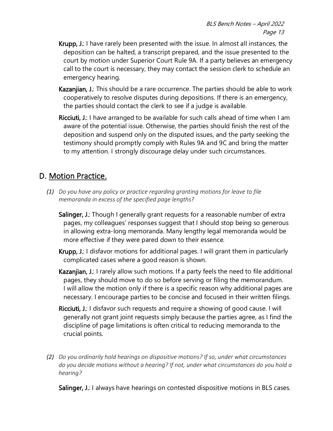- Krupp, J.: I have rarely been presented with the issue. In almost all instances, the deposition can be halted, a transcript prepared, and the issue presented to the court by motion under Superior Court Rule 9A. If a party believes an emergency call to the court is necessary, they may contact the session clerk to schedule an emergency hearing.
- Kazanjian, J.: This should be a rare occurrence. The parties should be able to work cooperatively to resolve disputes during depositions. If there is an emergency, the parties should contact the clerk to see if a judge is available.
- Ricciuti, J.: I have arranged to be available for such calls ahead of time when I am aware of the potential issue. Otherwise, the parties should finish the rest of the deposition and suspend only on the disputed issues, and the party seeking the testimony should promptly comply with Rules 9A and 9C and bring the matter to my attention. I strongly discourage delay under such circumstances.

# <span id="page-20-0"></span>D. Motion Practice.

- <span id="page-20-1"></span>*(1) Do you have any policy or practice regarding granting motions for leave to file memoranda in excess of the specified page lengths?* 
	- Salinger, J.: Though I generally grant requests for a reasonable number of extra pages, my colleagues' responses suggest that I should stop being so generous in allowing extra-long memoranda. Many lengthy legal memoranda would be more effective if they were pared down to their essence.
	- Krupp, J.: I disfavor motions for additional pages. I will grant them in particularly complicated cases where a good reason is shown.
	- Kazanjian, J.: I rarely allow such motions. If a party feels the need to file additional pages, they should move to do so before serving or filing the memorandum. I will allow the motion only if there is a specific reason why additional pages are necessary. I encourage parties to be concise and focused in their written filings.
	- Ricciuti, J.: I disfavor such requests and require a showing of good cause. I will generally not grant joint requests simply because the parties agree, as I find the discipline of page limitations is often critical to reducing memoranda to the crucial points.
- <span id="page-20-2"></span>*(2) Do you ordinarily hold hearings on dispositive motions? If so, under what circumstances do you decide motions without a hearing? If not, under what circumstances do you hold a hearing?*

Salinger, J.: I always have hearings on contested dispositive motions in BLS cases.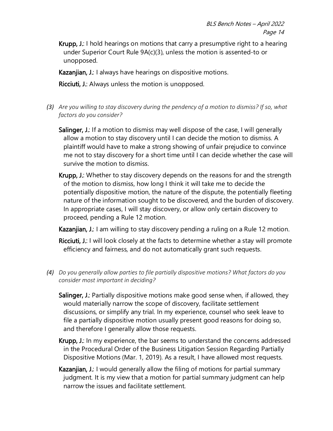Krupp, J.: I hold hearings on motions that carry a presumptive right to a hearing under Superior Court Rule 9A(c)(3), unless the motion is assented-to or unopposed.

Kazanjian, J.: I always have hearings on dispositive motions.

Ricciuti, J.: Always unless the motion is unopposed.

- <span id="page-21-0"></span>*(3) Are you willing to stay discovery during the pendency of a motion to dismiss? If so, what factors do you consider?*
	- Salinger, J.: If a motion to dismiss may well dispose of the case, I will generally allow a motion to stay discovery until I can decide the motion to dismiss. A plaintiff would have to make a strong showing of unfair prejudice to convince me not to stay discovery for a short time until I can decide whether the case will survive the motion to dismiss.
	- Krupp, J.: Whether to stay discovery depends on the reasons for and the strength of the motion to dismiss, how long I think it will take me to decide the potentially dispositive motion, the nature of the dispute, the potentially fleeting nature of the information sought to be discovered, and the burden of discovery. In appropriate cases, I will stay discovery, or allow only certain discovery to proceed, pending a Rule 12 motion.

Kazanjian, J.: I am willing to stay discovery pending a ruling on a Rule 12 motion.

Ricciuti, J.: I will look closely at the facts to determine whether a stay will promote efficiency and fairness, and do not automatically grant such requests.

- <span id="page-21-1"></span>*(4) Do you generally allow parties to file partially dispositive motions? What factors do you consider most important in deciding?*
	- Salinger, J.: Partially dispositive motions make good sense when, if allowed, they would materially narrow the scope of discovery, facilitate settlement discussions, or simplify any trial. In my experience, counsel who seek leave to file a partially dispositive motion usually present good reasons for doing so, and therefore I generally allow those requests.
	- Krupp, J.: In my experience, the bar seems to understand the concerns addressed in the Procedural Order of the Business Litigation Session Regarding Partially Dispositive Motions (Mar. 1, 2019). As a result, I have allowed most requests.
	- Kazanjian, J.: I would generally allow the filing of motions for partial summary judgment. It is my view that a motion for partial summary judgment can help narrow the issues and facilitate settlement.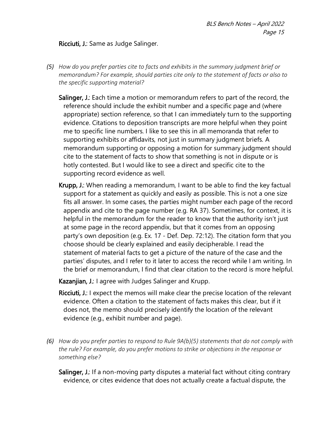#### Ricciuti, J.: Same as Judge Salinger.

- <span id="page-22-0"></span>*(5) How do you prefer parties cite to facts and exhibits in the summary judgment brief or memorandum? For example, should parties cite only to the statement of facts or also to the specific supporting material?*
	- Salinger, J.: Each time a motion or memorandum refers to part of the record, the reference should include the exhibit number and a specific page and (where appropriate) section reference, so that I can immediately turn to the supporting evidence. Citations to deposition transcripts are more helpful when they point me to specific line numbers. I like to see this in all memoranda that refer to supporting exhibits or affidavits, not just in summary judgment briefs. A memorandum supporting or opposing a motion for summary judgment should cite to the statement of facts to show that something is not in dispute or is hotly contested. But I would like to see a direct and specific cite to the supporting record evidence as well.
	- Krupp, J.: When reading a memorandum, I want to be able to find the key factual support for a statement as quickly and easily as possible. This is not a one size fits all answer. In some cases, the parties might number each page of the record appendix and cite to the page number (e.g. RA 37). Sometimes, for context, it is helpful in the memorandum for the reader to know that the authority isn't just at some page in the record appendix, but that it comes from an opposing party's own deposition (e.g. Ex. 17 - Def. Dep. 72:12). The citation form that you choose should be clearly explained and easily decipherable. I read the statement of material facts to get a picture of the nature of the case and the parties' disputes, and I refer to it later to access the record while I am writing. In the brief or memorandum, I find that clear citation to the record is more helpful.

Kazanjian, J.: I agree with Judges Salinger and Krupp.

- Ricciuti, J.: I expect the memos will make clear the precise location of the relevant evidence. Often a citation to the statement of facts makes this clear, but if it does not, the memo should precisely identify the location of the relevant evidence (e.g., exhibit number and page).
- <span id="page-22-1"></span>*(6) How do you prefer parties to respond to Rule 9A(b)(5) statements that do not comply with the rule? For example, do you prefer motions to strike or objections in the response or something else?*

Salinger, J.: If a non-moving party disputes a material fact without citing contrary evidence, or cites evidence that does not actually create a factual dispute, the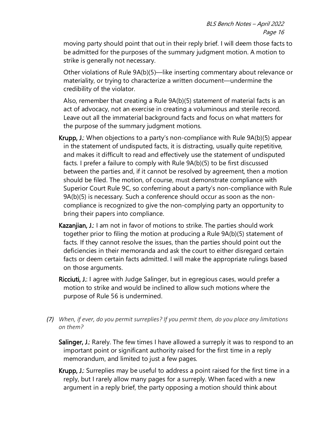moving party should point that out in their reply brief. I will deem those facts to be admitted for the purposes of the summary judgment motion. A motion to strike is generally not necessary.

Other violations of Rule 9A(b)(5)—like inserting commentary about relevance or materiality, or trying to characterize a written document—undermine the credibility of the violator.

Also, remember that creating a Rule 9A(b)(5) statement of material facts is an act of advocacy, not an exercise in creating a voluminous and sterile record. Leave out all the immaterial background facts and focus on what matters for the purpose of the summary judgment motions.

- Krupp, J.: When objections to a party's non-compliance with Rule 9A(b)(5) appear in the statement of undisputed facts, it is distracting, usually quite repetitive, and makes it difficult to read and effectively use the statement of undisputed facts. I prefer a failure to comply with Rule 9A(b)(5) to be first discussed between the parties and, if it cannot be resolved by agreement, then a motion should be filed. The motion, of course, must demonstrate compliance with Superior Court Rule 9C, so conferring about a party's non-compliance with Rule 9A(b)(5) is necessary. Such a conference should occur as soon as the noncompliance is recognized to give the non-complying party an opportunity to bring their papers into compliance.
- Kazanjian, J.: I am not in favor of motions to strike. The parties should work together prior to filing the motion at producing a Rule 9A(b)(5) statement of facts. If they cannot resolve the issues, than the parties should point out the deficiencies in their memoranda and ask the court to either disregard certain facts or deem certain facts admitted. I will make the appropriate rulings based on those arguments.
- Ricciuti, J.: I agree with Judge Salinger, but in egregious cases, would prefer a motion to strike and would be inclined to allow such motions where the purpose of Rule 56 is undermined.
- <span id="page-23-0"></span>*(7) When, if ever, do you permit surreplies? If you permit them, do you place any limitations on them?*

Salinger, J.: Rarely. The few times I have allowed a surreply it was to respond to an important point or significant authority raised for the first time in a reply memorandum, and limited to just a few pages.

Krupp, J.: Surreplies may be useful to address a point raised for the first time in a reply, but I rarely allow many pages for a surreply. When faced with a new argument in a reply brief, the party opposing a motion should think about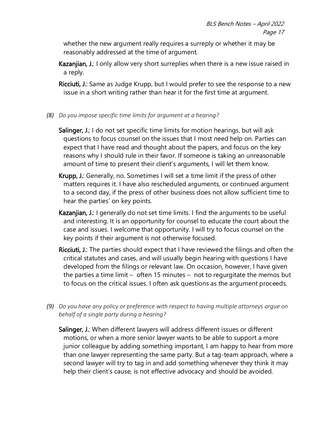whether the new argument really requires a surreply or whether it may be reasonably addressed at the time of argument.

- Kazanjian, J.: I only allow very short surreplies when there is a new issue raised in a reply.
- Ricciuti, J.: Same as Judge Krupp, but I would prefer to see the response to a new issue in a short writing rather than hear it for the first time at argument.
- <span id="page-24-0"></span>*(8) Do you impose specific time limits for argument at a hearing?*
	- Salinger, J.: I do not set specific time limits for motion hearings, but will ask questions to focus counsel on the issues that I most need help on. Parties can expect that I have read and thought about the papers, and focus on the key reasons why I should rule in their favor. If someone is taking an unreasonable amount of time to present their client's arguments, I will let them know.
	- Krupp, J.: Generally, no. Sometimes I will set a time limit if the press of other matters requires it. I have also rescheduled arguments, or continued argument to a second day, if the press of other business does not allow sufficient time to hear the parties' on key points.
	- Kazanjian, J.: I generally do not set time limits. I find the arguments to be useful and interesting. It is an opportunity for counsel to educate the court about the case and issues. I welcome that opportunity. I will try to focus counsel on the key points if their argument is not otherwise focused.
	- Ricciuti, J.: The parties should expect that I have reviewed the filings and often the critical statutes and cases, and will usually begin hearing with questions I have developed from the filings or relevant law. On occasion, however, I have given the parties a time limit – often 15 minutes – not to regurgitate the memos but to focus on the critical issues. I often ask questions as the argument proceeds.
- <span id="page-24-1"></span>*(9) Do you have any policy or preference with respect to having multiple attorneys argue on behalf of a single party during a hearing?*

Salinger, J.: When different lawyers will address different issues or different motions, or when a more senior lawyer wants to be able to support a more junior colleague by adding something important, I am happy to hear from more than one lawyer representing the same party. But a tag-team approach, where a second lawyer will try to tag in and add something whenever they think it may help their client's cause, is not effective advocacy and should be avoided.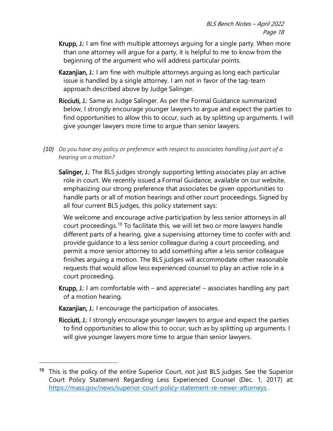- Krupp, J.: I am fine with multiple attorneys arguing for a single party. When more than one attorney will argue for a party, it is helpful to me to know from the beginning of the argument who will address particular points.
- Kazanjian, J.: I am fine with multiple attorneys arguing as long each particular issue is handled by a single attorney. I am not in favor of the tag-team approach described above by Judge Salinger.
- Ricciuti, J.: Same as Judge Salinger. As per the Formal Guidance summarized below, I strongly encourage younger lawyers to argue and expect the parties to find opportunities to allow this to occur, such as by splitting up arguments. I will give younger lawyers more time to argue than senior lawyers.
- <span id="page-25-0"></span>*(10) Do you have any policy or preference with respect to associates handling just part of a hearing on a motion?*

Salinger, J.: The BLS judges strongly supporting letting associates play an active role in court. We recently issued a Formal Guidance, available on our website, emphasizing our strong preference that associates be given opportunities to handle parts or all of motion hearings and other court proceedings. Signed by all four current BLS judges, this policy statement says:

We welcome and encourage active participation by less senior attorneys in all court proceedings.[10](#page-25-1) To facilitate this, we will let two or more lawyers handle different parts of a hearing, give a supervising attorney time to confer with and provide guidance to a less senior colleague during a court proceeding, and permit a more senior attorney to add something after a less senior colleague finishes arguing a motion. The BLS judges will accommodate other reasonable requests that would allow less experienced counsel to play an active role in a court proceeding.

- **Krupp, J.:** I am comfortable with and appreciate! associates handling any part of a motion hearing.
- Kazanjian, J.: I encourage the participation of associates.
- Ricciuti, J.: I strongly encourage younger lawyers to argue and expect the parties to find opportunities to allow this to occur, such as by splitting up arguments. I will give younger lawyers more time to argue than senior lawyers.

<span id="page-25-1"></span><sup>&</sup>lt;sup>10</sup> This is the policy of the entire Superior Court, not just BLS judges. See the Superior Court Policy Statement Regarding Less Experienced Counsel (Dec. 1, 2017) at: https://mass.gov/news/superior-court-policy-statement-re-newer-attorneys.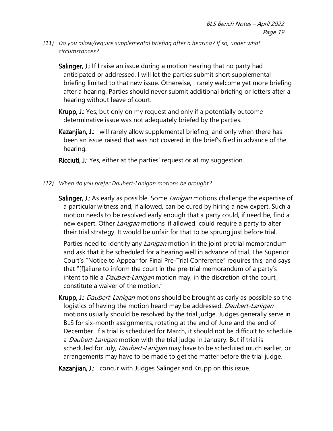<span id="page-26-0"></span>*(11) Do you allow/require supplemental briefing after a hearing? If so, under what circumstances?*

Salinger, J.: If I raise an issue during a motion hearing that no party had anticipated or addressed, I will let the parties submit short supplemental briefing limited to that new issue. Otherwise, I rarely welcome yet more briefing after a hearing. Parties should never submit additional briefing or letters after a hearing without leave of court.

Krupp, J.: Yes, but only on my request and only if a potentially outcomedeterminative issue was not adequately briefed by the parties.

Kazanjian, J.: I will rarely allow supplemental briefing, and only when there has been an issue raised that was not covered in the brief's filed in advance of the hearing.

Ricciuti, J.: Yes, either at the parties' request or at my suggestion.

- <span id="page-26-1"></span>*(12) When do you prefer Daubert-Lanigan motions be brought?*
	- Salinger, J.: As early as possible. Some *Lanigan* motions challenge the expertise of a particular witness and, if allowed, can be cured by hiring a new expert. Such a motion needs to be resolved early enough that a party could, if need be, find a new expert. Other *Lanigan* motions, if allowed, could require a party to alter their trial strategy. It would be unfair for that to be sprung just before trial.

Parties need to identify any *Lanigan* motion in the joint pretrial memorandum and ask that it be scheduled for a hearing well in advance of trial. The Superior Court's "Notice to Appear for Final Pre-Trial Conference" requires this, and says that "[f]ailure to inform the court in the pre-trial memorandum of a party's intent to file a *Daubert-Lanigan* motion may, in the discretion of the court, constitute a waiver of the motion."

Krupp, J.: *Daubert-Lanigan* motions should be brought as early as possible so the logistics of having the motion heard may be addressed. Daubert-Lanigan motions usually should be resolved by the trial judge. Judges generally serve in BLS for six-month assignments, rotating at the end of June and the end of December. If a trial is scheduled for March, it should not be difficult to schedule a *Daubert-Lanigan* motion with the trial judge in January. But if trial is scheduled for July, *Daubert-Lanigan* may have to be scheduled much earlier, or arrangements may have to be made to get the matter before the trial judge.

Kazanjian, J.: I concur with Judges Salinger and Krupp on this issue.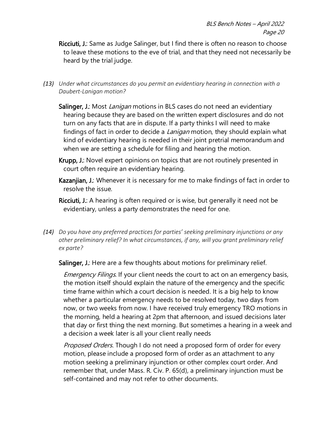- Ricciuti, J.: Same as Judge Salinger, but I find there is often no reason to choose to leave these motions to the eve of trial, and that they need not necessarily be heard by the trial judge.
- <span id="page-27-0"></span>*(13) Under what circumstances do you permit an evidentiary hearing in connection with a Daubert-Lanigan motion?*
	- Salinger, J.: Most *Lanigan* motions in BLS cases do not need an evidentiary hearing because they are based on the written expert disclosures and do not turn on any facts that are in dispute. If a party thinks I will need to make findings of fact in order to decide a *Lanigan* motion, they should explain what kind of evidentiary hearing is needed in their joint pretrial memorandum and when we are setting a schedule for filing and hearing the motion.
	- Krupp, J.: Novel expert opinions on topics that are not routinely presented in court often require an evidentiary hearing.
	- Kazanjian, J.: Whenever it is necessary for me to make findings of fact in order to resolve the issue.
	- Ricciuti, J.: A hearing is often required or is wise, but generally it need not be evidentiary, unless a party demonstrates the need for one.
- <span id="page-27-1"></span>*(14) Do you have any preferred practices for parties' seeking preliminary injunctions or any other preliminary relief? In what circumstances, if any, will you grant preliminary relief ex parte?*

Salinger, J.: Here are a few thoughts about motions for preliminary relief.

Emergency Filings. If your client needs the court to act on an emergency basis, the motion itself should explain the nature of the emergency and the specific time frame within which a court decision is needed. It is a big help to know whether a particular emergency needs to be resolved today, two days from now, or two weeks from now. I have received truly emergency TRO motions in the morning, held a hearing at 2pm that afternoon, and issued decisions later that day or first thing the next morning. But sometimes a hearing in a week and a decision a week later is all your client really needs

*Proposed Orders*. Though I do not need a proposed form of order for every motion, please include a proposed form of order as an attachment to any motion seeking a preliminary injunction or other complex court order. And remember that, under Mass. R. Civ. P. 65(d), a preliminary injunction must be self-contained and may not refer to other documents.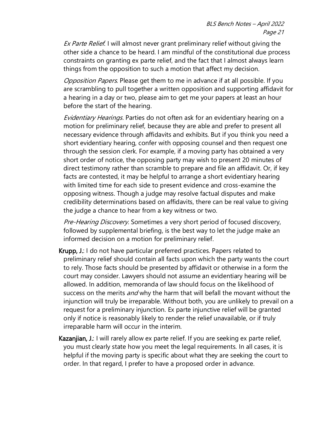Ex Parte Relief. I will almost never grant preliminary relief without giving the other side a chance to be heard. I am mindful of the constitutional due process constraints on granting ex parte relief, and the fact that I almost always learn things from the opposition to such a motion that affect my decision.

Opposition Papers. Please get them to me in advance if at all possible. If you are scrambling to pull together a written opposition and supporting affidavit for a hearing in a day or two, please aim to get me your papers at least an hour before the start of the hearing.

Evidentiary Hearings. Parties do not often ask for an evidentiary hearing on a motion for preliminary relief, because they are able and prefer to present all necessary evidence through affidavits and exhibits. But if you think you need a short evidentiary hearing, confer with opposing counsel and then request one through the session clerk. For example, if a moving party has obtained a very short order of notice, the opposing party may wish to present 20 minutes of direct testimony rather than scramble to prepare and file an affidavit. Or, if key facts are contested, it may be helpful to arrange a short evidentiary hearing with limited time for each side to present evidence and cross-examine the opposing witness. Though a judge may resolve factual disputes and make credibility determinations based on affidavits, there can be real value to giving the judge a chance to hear from a key witness or two.

Pre-Hearing Discovery. Sometimes a very short period of focused discovery, followed by supplemental briefing, is the best way to let the judge make an informed decision on a motion for preliminary relief.

- Krupp, J.: I do not have particular preferred practices. Papers related to preliminary relief should contain all facts upon which the party wants the court to rely. Those facts should be presented by affidavit or otherwise in a form the court may consider. Lawyers should not assume an evidentiary hearing will be allowed. In addition, memoranda of law should focus on the likelihood of success on the merits *and* why the harm that will befall the movant without the injunction will truly be irreparable. Without both, you are unlikely to prevail on a request for a preliminary injunction. Ex parte injunctive relief will be granted only if notice is reasonably likely to render the relief unavailable, or if truly irreparable harm will occur in the interim.
- Kazanjian, J.: I will rarely allow ex parte relief. If you are seeking ex parte relief, you must clearly state how you meet the legal requirements. In all cases, it is helpful if the moving party is specific about what they are seeking the court to order. In that regard, I prefer to have a proposed order in advance.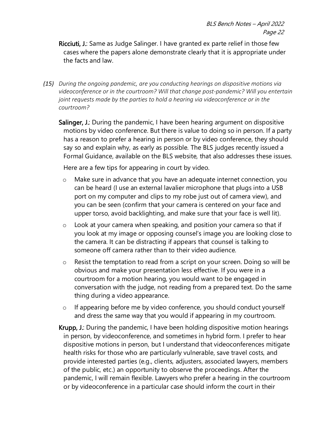Ricciuti, J.: Same as Judge Salinger. I have granted ex parte relief in those few cases where the papers alone demonstrate clearly that it is appropriate under the facts and law.

- <span id="page-29-0"></span>*(15) During the ongoing pandemic, are you conducting hearings on dispositive motions via videoconference or in the courtroom? Will that change post-pandemic? Will you entertain joint requests made by the parties to hold a hearing via videoconference or in the courtroom?* 
	- Salinger, J.: During the pandemic, I have been hearing argument on dispositive motions by video conference. But there is value to doing so in person. If a party has a reason to prefer a hearing in person or by video conference, they should say so and explain why, as early as possible. The BLS judges recently issued a Formal Guidance, available on the BLS website, that also addresses these issues.

Here are a few tips for appearing in court by video.

- o Make sure in advance that you have an adequate internet connection, you can be heard (I use an external lavalier microphone that plugs into a USB port on my computer and clips to my robe just out of camera view), and you can be seen (confirm that your camera is centered on your face and upper torso, avoid backlighting, and make sure that your face is well lit).
- o Look at your camera when speaking, and position your camera so that if you look at my image or opposing counsel's image you are looking close to the camera. It can be distracting if appears that counsel is talking to someone off camera rather than to their video audience.
- o Resist the temptation to read from a script on your screen. Doing so will be obvious and make your presentation less effective. If you were in a courtroom for a motion hearing, you would want to be engaged in conversation with the judge, not reading from a prepared text. Do the same thing during a video appearance.
- o If appearing before me by video conference, you should conduct yourself and dress the same way that you would if appearing in my courtroom.

Krupp, J.: During the pandemic, I have been holding dispositive motion hearings in person, by videoconference, and sometimes in hybrid form. I prefer to hear dispositive motions in person, but I understand that videoconferences mitigate health risks for those who are particularly vulnerable, save travel costs, and provide interested parties (e.g., clients, adjusters, associated lawyers, members of the public, etc.) an opportunity to observe the proceedings. After the pandemic, I will remain flexible. Lawyers who prefer a hearing in the courtroom or by videoconference in a particular case should inform the court in their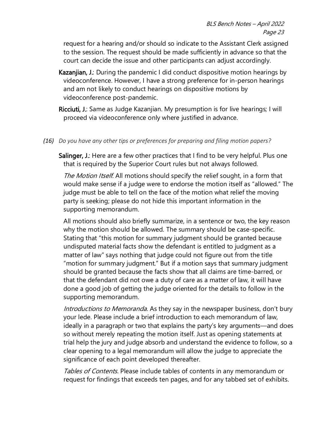request for a hearing and/or should so indicate to the Assistant Clerk assigned to the session. The request should be made sufficiently in advance so that the court can decide the issue and other participants can adjust accordingly.

- Kazanjian, J.: During the pandemic I did conduct dispositive motion hearings by videoconference. However, I have a strong preference for in-person hearings and am not likely to conduct hearings on dispositive motions by videoconference post-pandemic.
- Ricciuti, J.: Same as Judge Kazanjian. My presumption is for live hearings; I will proceed via videoconference only where justified in advance.
- <span id="page-30-0"></span>*(16) Do you have any other tips or preferences for preparing and filing motion papers?*

Salinger, J.: Here are a few other practices that I find to be very helpful. Plus one that is required by the Superior Court rules but not always followed.

The Motion Itself. All motions should specify the relief sought, in a form that would make sense if a judge were to endorse the motion itself as "allowed." The judge must be able to tell on the face of the motion what relief the moving party is seeking; please do not hide this important information in the supporting memorandum.

All motions should also briefly summarize, in a sentence or two, the key reason why the motion should be allowed. The summary should be case-specific. Stating that "this motion for summary judgment should be granted because undisputed material facts show the defendant is entitled to judgment as a matter of law" says nothing that judge could not figure out from the title "motion for summary judgment." But if a motion says that summary judgment should be granted because the facts show that all claims are time-barred, or that the defendant did not owe a duty of care as a matter of law, it will have done a good job of getting the judge oriented for the details to follow in the supporting memorandum.

Introductions to Memoranda. As they say in the newspaper business, don't bury your lede. Please include a brief introduction to each memorandum of law, ideally in a paragraph or two that explains the party's key arguments—and does so without merely repeating the motion itself. Just as opening statements at trial help the jury and judge absorb and understand the evidence to follow, so a clear opening to a legal memorandum will allow the judge to appreciate the significance of each point developed thereafter.

Tables of Contents. Please include tables of contents in any memorandum or request for findings that exceeds ten pages, and for any tabbed set of exhibits.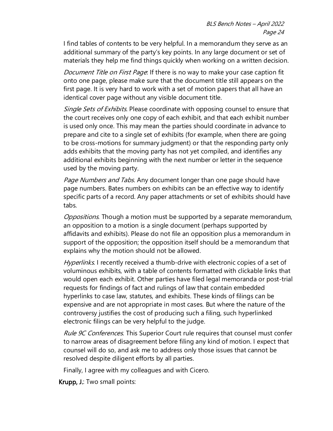I find tables of contents to be very helpful. In a memorandum they serve as an additional summary of the party's key points. In any large document or set of materials they help me find things quickly when working on a written decision.

Document Title on First Page. If there is no way to make your case caption fit onto one page, please make sure that the document title still appears on the first page. It is very hard to work with a set of motion papers that all have an identical cover page without any visible document title.

Single Sets of Exhibits. Please coordinate with opposing counsel to ensure that the court receives only one copy of each exhibit, and that each exhibit number is used only once. This may mean the parties should coordinate in advance to prepare and cite to a single set of exhibits (for example, when there are going to be cross-motions for summary judgment) or that the responding party only adds exhibits that the moving party has not yet compiled, and identifies any additional exhibits beginning with the next number or letter in the sequence used by the moving party.

Page Numbers and Tabs. Any document longer than one page should have page numbers. Bates numbers on exhibits can be an effective way to identify specific parts of a record. Any paper attachments or set of exhibits should have tabs.

Oppositions. Though a motion must be supported by a separate memorandum, an opposition to a motion is a single document (perhaps supported by affidavits and exhibits). Please do not file an opposition plus a memorandum in support of the opposition; the opposition itself should be a memorandum that explains why the motion should not be allowed.

Hyperlinks. I recently received a thumb-drive with electronic copies of a set of voluminous exhibits, with a table of contents formatted with clickable links that would open each exhibit. Other parties have filed legal memoranda or post-trial requests for findings of fact and rulings of law that contain embedded hyperlinks to case law, statutes, and exhibits. These kinds of filings can be expensive and are not appropriate in most cases. But where the nature of the controversy justifies the cost of producing such a filing, such hyperlinked electronic filings can be very helpful to the judge.

Rule 9C Conferences. This Superior Court rule requires that counsel must confer to narrow areas of disagreement before filing any kind of motion. I expect that counsel will do so, and ask me to address only those issues that cannot be resolved despite diligent efforts by all parties.

Finally, I agree with my colleagues and with Cicero.

Krupp, J.: Two small points: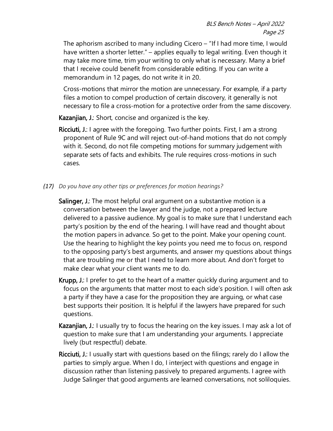The aphorism ascribed to many including Cicero – "If I had more time, I would have written a shorter letter." – applies equally to legal writing. Even though it may take more time, trim your writing to only what is necessary. Many a brief that I receive could benefit from considerable editing. If you can write a memorandum in 12 pages, do not write it in 20.

Cross-motions that mirror the motion are unnecessary. For example, if a party files a motion to compel production of certain discovery, it generally is not necessary to file a cross-motion for a protective order from the same discovery.

Kazanjian, J.: Short, concise and organized is the key.

- Ricciuti, J.: I agree with the foregoing. Two further points. First, I am a strong proponent of Rule 9C and will reject out-of-hand motions that do not comply with it. Second, do not file competing motions for summary judgement with separate sets of facts and exhibits. The rule requires cross-motions in such cases.
- <span id="page-32-0"></span>*(17) Do you have any other tips or preferences for motion hearings?*
	- Salinger, J.: The most helpful oral argument on a substantive motion is a conversation between the lawyer and the judge, not a prepared lecture delivered to a passive audience. My goal is to make sure that I understand each party's position by the end of the hearing. I will have read and thought about the motion papers in advance. So get to the point. Make your opening count. Use the hearing to highlight the key points you need me to focus on, respond to the opposing party's best arguments, and answer my questions about things that are troubling me or that I need to learn more about. And don't forget to make clear what your client wants me to do.
	- Krupp, J.: I prefer to get to the heart of a matter quickly during argument and to focus on the arguments that matter most to each side's position. I will often ask a party if they have a case for the proposition they are arguing, or what case best supports their position. It is helpful if the lawyers have prepared for such questions.
	- Kazanjian, J.: I usually try to focus the hearing on the key issues. I may ask a lot of question to make sure that I am understanding your arguments. I appreciate lively (but respectful) debate.
	- Ricciuti, J.: I usually start with questions based on the filings; rarely do I allow the parties to simply argue. When I do, I interject with questions and engage in discussion rather than listening passively to prepared arguments. I agree with Judge Salinger that good arguments are learned conversations, not soliloquies.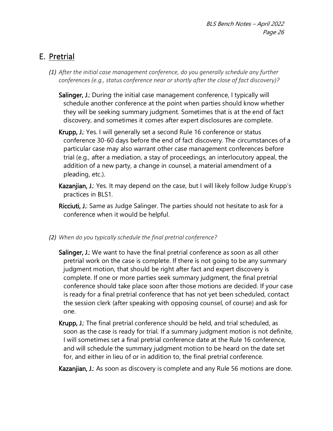# <span id="page-33-0"></span>E. Pretrial

- <span id="page-33-1"></span>*(1) After the initial case management conference, do you generally schedule any further conferences (e.g., status conference near or shortly after the close of fact discovery)?*
	- Salinger, J.: During the initial case management conference, I typically will schedule another conference at the point when parties should know whether they will be seeking summary judgment. Sometimes that is at the end of fact discovery, and sometimes it comes after expert disclosures are complete.
	- Krupp, J.: Yes. I will generally set a second Rule 16 conference or status conference 30-60 days before the end of fact discovery. The circumstances of a particular case may also warrant other case management conferences before trial (e.g., after a mediation, a stay of proceedings, an interlocutory appeal, the addition of a new party, a change in counsel, a material amendment of a pleading, etc.).
	- Kazanjian, J.: Yes. It may depend on the case, but I will likely follow Judge Krupp's practices in BLS1.
	- Ricciuti, J.: Same as Judge Salinger. The parties should not hesitate to ask for a conference when it would be helpful.
- <span id="page-33-2"></span>*(2) When do you typically schedule the final pretrial conference?*
	- Salinger, J.: We want to have the final pretrial conference as soon as all other pretrial work on the case is complete. If there is not going to be any summary judgment motion, that should be right after fact and expert discovery is complete. If one or more parties seek summary judgment, the final pretrial conference should take place soon after those motions are decided. If your case is ready for a final pretrial conference that has not yet been scheduled, contact the session clerk (after speaking with opposing counsel, of course) and ask for one.
	- Krupp, J.: The final pretrial conference should be held, and trial scheduled, as soon as the case is ready for trial. If a summary judgment motion is not definite, I will sometimes set a final pretrial conference date at the Rule 16 conference, and will schedule the summary judgment motion to be heard on the date set for, and either in lieu of or in addition to, the final pretrial conference.
	- Kazanjian, J.: As soon as discovery is complete and any Rule 56 motions are done.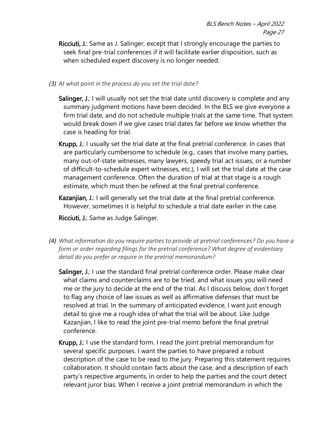- Ricciuti, J.: Same as J. Salinger, except that I strongly encourage the parties to seek final pre-trial conferences if it will facilitate earlier disposition, such as when scheduled expert discovery is no longer needed.
- <span id="page-34-0"></span>*(3) At what point in the process do you set the trial date?*
	- Salinger, J.: I will usually not set the trial date until discovery is complete and any summary judgment motions have been decided. In the BLS we give everyone a firm trial date, and do not schedule multiple trials at the same time. That system would break down if we give cases trial dates far before we know whether the case is heading for trial.
	- Krupp, J.: I usually set the trial date at the final pretrial conference. In cases that are particularly cumbersome to schedule (e.g., cases that involve many parties, many out-of-state witnesses, many lawyers, speedy trial act issues, or a number of difficult-to-schedule expert witnesses, etc.), I will set the trial date at the case management conference. Often the duration of trial at that stage is a rough estimate, which must then be refined at the final pretrial conference.
	- Kazanjian, J.: I will generally set the trial date at the final pretrial conference. However, sometimes it is helpful to schedule a trial date earlier in the case.

Ricciuti, J.: Same as Judge Salinger.

- <span id="page-34-1"></span>*(4) What information do you require parties to provide at pretrial conferences? Do you have a form or order regarding filings for the pretrial conference? What degree of evidentiary detail do you prefer or require in the pretrial memorandum?*
	- Salinger, J.: I use the standard final pretrial conference order. Please make clear what claims and counterclaims are to be tried, and what issues you will need me or the jury to decide at the end of the trial. As I discuss below, don't forget to flag any choice of law issues as well as affirmative defenses that must be resolved at trial. In the summary of anticipated evidence, I want just enough detail to give me a rough idea of what the trial will be about. Like Judge Kazanjian, I like to read the joint pre-trial memo before the final pretrial conference.
	- Krupp, J.: I use the standard form. I read the joint pretrial memorandum for several specific purposes. I want the parties to have prepared a robust description of the case to be read to the jury. Preparing this statement requires collaboration. It should contain facts about the case, and a description of each party's respective arguments, in order to help the parties and the court detect relevant juror bias. When I receive a joint pretrial memorandum in which the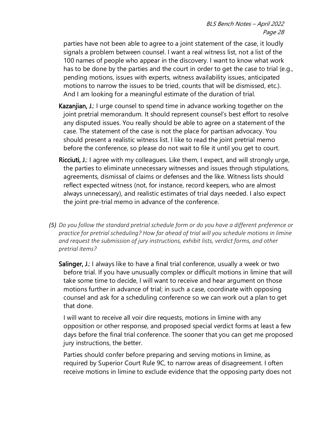parties have not been able to agree to a joint statement of the case, it loudly signals a problem between counsel. I want a real witness list, not a list of the 100 names of people who appear in the discovery. I want to know what work has to be done by the parties and the court in order to get the case to trial (e.g., pending motions, issues with experts, witness availability issues, anticipated motions to narrow the issues to be tried, counts that will be dismissed, etc.). And I am looking for a meaningful estimate of the duration of trial.

- Kazanjian, J.: I urge counsel to spend time in advance working together on the joint pretrial memorandum. It should represent counsel's best effort to resolve any disputed issues. You really should be able to agree on a statement of the case. The statement of the case is not the place for partisan advocacy. You should present a realistic witness list. I like to read the joint pretrial memo before the conference, so please do not wait to file it until you get to court.
- Ricciuti, J.: I agree with my colleagues. Like them, I expect, and will strongly urge, the parties to eliminate unnecessary witnesses and issues through stipulations, agreements, dismissal of claims or defenses and the like. Witness lists should reflect expected witness (not, for instance, record keepers, who are almost always unnecessary), and realistic estimates of trial days needed. I also expect the joint pre-trial memo in advance of the conference.
- <span id="page-35-0"></span>*(5) Do you follow the standard pretrial schedule form or do you have a different preference or practice for pretrial scheduling? How far ahead of trial will you schedule motions in limine and request the submission of jury instructions, exhibit lists, verdict forms, and other pretrial items?*
	- Salinger, J.: I always like to have a final trial conference, usually a week or two before trial. If you have unusually complex or difficult motions in limine that will take some time to decide, I will want to receive and hear argument on those motions further in advance of trial; in such a case, coordinate with opposing counsel and ask for a scheduling conference so we can work out a plan to get that done.

I will want to receive all voir dire requests, motions in limine with any opposition or other response, and proposed special verdict forms at least a few days before the final trial conference. The sooner that you can get me proposed jury instructions, the better.

Parties should confer before preparing and serving motions in limine, as required by Superior Court Rule 9C, to narrow areas of disagreement. I often receive motions in limine to exclude evidence that the opposing party does not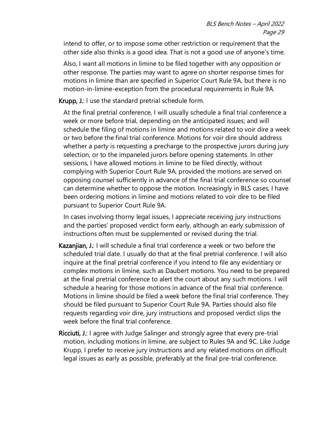intend to offer, or to impose some other restriction or requirement that the other side also thinks is a good idea. That is not a good use of anyone's time.

Also, I want all motions in limine to be filed together with any opposition or other response. The parties may want to agree on shorter response times for motions in limine than are specified in Superior Court Rule 9A, but there is no motion-in-limine-exception from the procedural requirements in Rule 9A.

Krupp, J.: I use the standard pretrial schedule form.

At the final pretrial conference, I will usually schedule a final trial conference a week or more before trial, depending on the anticipated issues; and will schedule the filing of motions in limine and motions related to voir dire a week or two before the final trial conference. Motions for voir dire should address whether a party is requesting a precharge to the prospective jurors during jury selection, or to the impaneled jurors before opening statements. In other sessions, I have allowed motions in limine to be filed directly, without complying with Superior Court Rule 9A, provided the motions are served on opposing counsel sufficiently in advance of the final trial conference so counsel can determine whether to oppose the motion. Increasingly in BLS cases, I have been ordering motions in limine and motions related to voir dire to be filed pursuant to Superior Court Rule 9A.

In cases involving thorny legal issues, I appreciate receiving jury instructions and the parties' proposed verdict form early, although an early submission of instructions often must be supplemented or revised during the trial.

- Kazanjian, J.: I will schedule a final trial conference a week or two before the scheduled trial date. I usually do that at the final pretrial conference. I will also inquire at the final pretrial conference if you intend to file any evidentiary or complex motions in limine, such as Daubert motions. You need to be prepared at the final pretrial conference to alert the court about any such motions. I will schedule a hearing for those motions in advance of the final trial conference. Motions in limine should be filed a week before the final trial conference. They should be filed pursuant to Superior Court Rule 9A. Parties should also file requests regarding voir dire, jury instructions and proposed verdict slips the week before the final trial conference.
- Ricciuti, J.: I agree with Judge Salinger and strongly agree that every pre-trial motion, including motions in limine, are subject to Rules 9A and 9C. Like Judge Krupp, I prefer to receive jury instructions and any related motions on difficult legal issues as early as possible, preferably at the final pre-trial conference.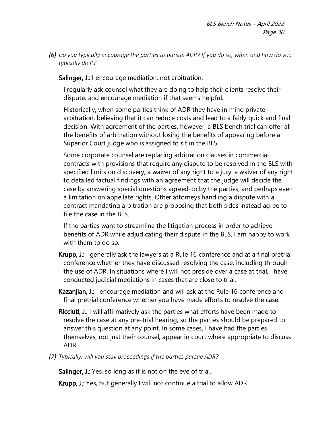<span id="page-37-0"></span>*(6) Do you typically encourage the parties to pursue ADR? If you do so, when and how do you typically do it?*

Salinger, J.: I encourage mediation, not arbitration.

I regularly ask counsel what they are doing to help their clients resolve their dispute, and encourage mediation if that seems helpful.

Historically, when some parties think of ADR they have in mind private arbitration, believing that it can reduce costs and lead to a fairly quick and final decision. With agreement of the parties, however, a BLS bench trial can offer all the benefits of arbitration without losing the benefits of appearing before a Superior Court judge who is assigned to sit in the BLS.

Some corporate counsel are replacing arbitration clauses in commercial contracts with provisions that require any dispute to be resolved in the BLS with specified limits on discovery, a waiver of any right to a jury, a waiver of any right to detailed factual findings with an agreement that the judge will decide the case by answering special questions agreed-to by the parties, and perhaps even a limitation on appellate rights. Other attorneys handling a dispute with a contract mandating arbitration are proposing that both sides instead agree to file the case in the BLS.

If the parties want to streamline the litigation process in order to achieve benefits of ADR while adjudicating their dispute in the BLS, I am happy to work with them to do so.

- Krupp, J.: I generally ask the lawyers at a Rule 16 conference and at a final pretrial conference whether they have discussed resolving the case, including through the use of ADR. In situations where I will not preside over a case at trial, I have conducted judicial mediations in cases that are close to trial.
- Kazanjian, J.: I encourage mediation and will ask at the Rule 16 conference and final pretrial conference whether you have made efforts to resolve the case.
- Ricciuti, J.: I will affirmatively ask the parties what efforts have been made to resolve the case at any pre-trial hearing, so the parties should be prepared to answer this question at any point. In some cases, I have had the parties themselves, not just their counsel, appear in court where appropriate to discuss ADR.
- <span id="page-37-1"></span>*(7) Typically, will you stay proceedings if the parties pursue ADR?*

Salinger, J.: Yes, so long as it is not on the eve of trial.

Krupp, J.: Yes, but generally I will not continue a trial to allow ADR.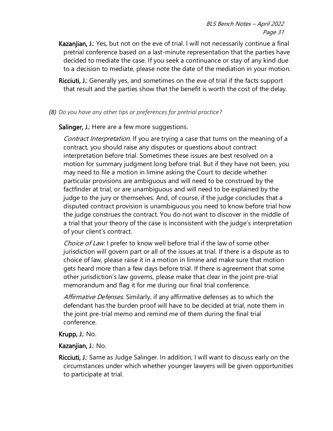- Kazanjian, J.: Yes, but not on the eve of trial. I will not necessarily continue a final pretrial conference based on a last-minute representation that the parties have decided to mediate the case. If you seek a continuance or stay of any kind due to a decision to mediate, please note the date of the mediation in your motion.
- Ricciuti, J.: Generally yes, and sometimes on the eve of trial if the facts support that result and the parties show that the benefit is worth the cost of the delay.
- <span id="page-38-0"></span>*(8) Do you have any other tips or preferences for pretrial practice?*

Salinger, J.: Here are a few more suggestions.

Contract Interpretation. If you are trying a case that turns on the meaning of a contract, you should raise any disputes or questions about contract interpretation before trial. Sometimes these issues are best resolved on a motion for summary judgment long before trial. But if they have not been, you may need to file a motion in limine asking the Court to decide whether particular provisions are ambiguous and will need to be construed by the factfinder at trial, or are unambiguous and will need to be explained by the judge to the jury or themselves. And, of course, if the judge concludes that a disputed contract provision is unambiguous you need to know before trial how the judge construes the contract. You do not want to discover in the middle of a trial that your theory of the case is inconsistent with the judge's interpretation of your client's contract.

Choice of Law. I prefer to know well before trial if the law of some other jurisdiction will govern part or all of the issues at trial. If there is a dispute as to choice of law, please raise it in a motion in limine and make sure that motion gets heard more than a few days before trial. If there is agreement that some other jurisdiction's law governs, please make that clear in the joint pre-trial memorandum and flag it for me during our final trial conference.

Affirmative Defenses. Similarly, if any affirmative defenses as to which the defendant has the burden proof will have to be decided at trial, note them in the joint pre-trial memo and remind me of them during the final trial conference.

### Krupp, J.: No.

#### Kazanjian, J.: No.

Ricciuti, J.: Same as Judge Salinger. In addition, I will want to discuss early on the circumstances under which whether younger lawyers will be given opportunities to participate at trial.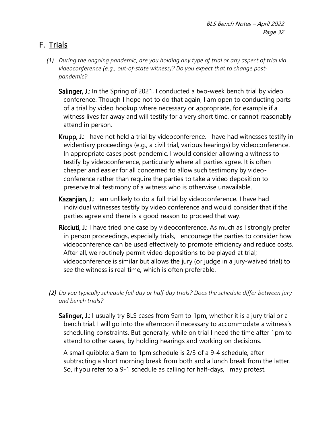# <span id="page-39-0"></span>F. Trials

- <span id="page-39-1"></span>*(1) During the ongoing pandemic, are you holding any type of trial or any aspect of trial via videoconference (e.g., out-of-state witness)? Do you expect that to change postpandemic?* 
	- Salinger, J.: In the Spring of 2021, I conducted a two-week bench trial by video conference. Though I hope not to do that again, I am open to conducting parts of a trial by video hookup where necessary or appropriate, for example if a witness lives far away and will testify for a very short time, or cannot reasonably attend in person.
	- Krupp, J.: I have not held a trial by videoconference. I have had witnesses testify in evidentiary proceedings (e.g., a civil trial, various hearings) by videoconference. In appropriate cases post-pandemic, I would consider allowing a witness to testify by videoconference, particularly where all parties agree. It is often cheaper and easier for all concerned to allow such testimony by videoconference rather than require the parties to take a video deposition to preserve trial testimony of a witness who is otherwise unavailable.
	- Kazanjian, J.: I am unlikely to do a full trial by videoconference. I have had individual witnesses testify by video conference and would consider that if the parties agree and there is a good reason to proceed that way.
	- Ricciuti, J.: I have tried one case by videoconference. As much as I strongly prefer in person proceedings, especially trials, I encourage the parties to consider how videoconference can be used effectively to promote efficiency and reduce costs. After all, we routinely permit video depositions to be played at trial; videoconference is similar but allows the jury (or judge in a jury-waived trial) to see the witness is real time, which is often preferable.
- <span id="page-39-2"></span>*(2) Do you typically schedule full-day or half-day trials? Does the schedule differ between jury and bench trials?*

Salinger, J.: I usually try BLS cases from 9am to 1pm, whether it is a jury trial or a bench trial. I will go into the afternoon if necessary to accommodate a witness's scheduling constraints. But generally, while on trial I need the time after 1pm to attend to other cases, by holding hearings and working on decisions.

A small quibble: a 9am to 1pm schedule is 2/3 of a 9-4 schedule, after subtracting a short morning break from both and a lunch break from the latter. So, if you refer to a 9-1 schedule as calling for half-days, I may protest.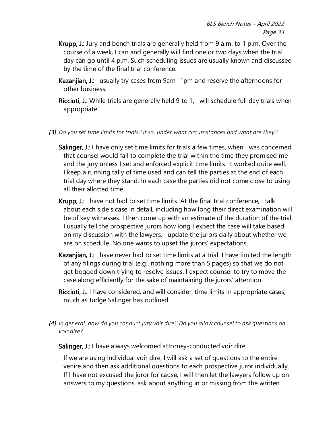- Krupp, J.: Jury and bench trials are generally held from 9 a.m. to 1 p.m. Over the course of a week, I can and generally will find one or two days when the trial day can go until 4 p.m. Such scheduling issues are usually known and discussed by the time of the final trial conference.
- Kazanjian, J.: I usually try cases from 9am -1pm and reserve the afternoons for other business.
- Ricciuti, J.: While trials are generally held 9 to 1, I will schedule full day trials when appropriate.
- <span id="page-40-0"></span>*(3) Do you set time limits for trials? If so, under what circumstances and what are they?*
	- Salinger, J.: I have only set time limits for trials a few times, when I was concerned that counsel would fail to complete the trial within the time they promised me and the jury unless I set and enforced explicit time limits. It worked quite well. I keep a running tally of time used and can tell the parties at the end of each trial day where they stand. In each case the parties did not come close to using all their allotted time.
	- Krupp, J.: I have not had to set time limits. At the final trial conference, I talk about each side's case in detail, including how long their direct examination will be of key witnesses. I then come up with an estimate of the duration of the trial. I usually tell the prospective jurors how long I expect the case will take based on my discussion with the lawyers. I update the jurors daily about whether we are on schedule. No one wants to upset the jurors' expectations.
	- Kazanjian, J.: I have never had to set time limits at a trial. I have limited the length of any filings during trial (e.g., nothing more than 5 pages) so that we do not get bogged down trying to resolve issues. I expect counsel to try to move the case along efficiently for the sake of maintaining the jurors' attention.
	- Ricciuti, J.: I have considered, and will consider, time limits in appropriate cases, much as Judge Salinger has outlined.
- <span id="page-40-1"></span>*(4) In general, how do you conduct jury voir dire? Do you allow counsel to ask questions on voir dire?*
	- Salinger, J.: I have always welcomed attorney-conducted voir dire.

If we are using individual voir dire, I will ask a set of questions to the entire venire and then ask additional questions to each prospective juror individually. If I have not excused the juror for cause, I will then let the lawyers follow up on answers to my questions, ask about anything in or missing from the written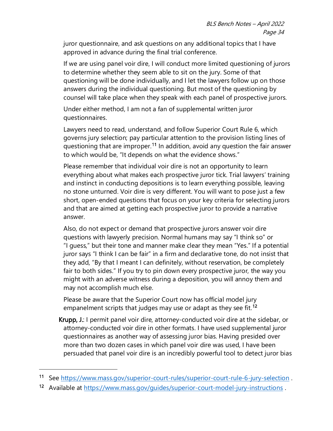juror questionnaire, and ask questions on any additional topics that I have approved in advance during the final trial conference.

If we are using panel voir dire, I will conduct more limited questioning of jurors to determine whether they seem able to sit on the jury. Some of that questioning will be done individually, and I let the lawyers follow up on those answers during the individual questioning. But most of the questioning by counsel will take place when they speak with each panel of prospective jurors.

Under either method, I am not a fan of supplemental written juror questionnaires.

Lawyers need to read, understand, and follow Superior Court Rule 6, which governs jury selection; pay particular attention to the provision listing lines of questioning that are improper.<sup>[11](#page-41-0)</sup> In addition, avoid any question the fair answer to which would be, "It depends on what the evidence shows."

Please remember that individual voir dire is not an opportunity to learn everything about what makes each prospective juror tick. Trial lawyers' training and instinct in conducting depositions is to learn everything possible, leaving no stone unturned. Voir dire is very different. You will want to pose just a few short, open-ended questions that focus on your key criteria for selecting jurors and that are aimed at getting each prospective juror to provide a narrative answer.

Also, do not expect or demand that prospective jurors answer voir dire questions with lawyerly precision. Normal humans may say "I think so" or "I guess," but their tone and manner make clear they mean "Yes." If a potential juror says "I think I can be fair" in a firm and declarative tone, do not insist that they add, "By that I meant I can definitely, without reservation, be completely fair to both sides." If you try to pin down every prospective juror, the way you might with an adverse witness during a deposition, you will annoy them and may not accomplish much else.

Please be aware that the Superior Court now has official model jury empanelment scripts that judges may use or adapt as they see fit.<sup>[12](#page-41-1)</sup>

Krupp, J.: I permit panel voir dire, attorney-conducted voir dire at the sidebar, or attorney-conducted voir dire in other formats. I have used supplemental juror questionnaires as another way of assessing juror bias. Having presided over more than two dozen cases in which panel voir dire was used, I have been persuaded that panel voir dire is an incredibly powerful tool to detect juror bias

<span id="page-41-0"></span><sup>11</sup> See https://www.mass.gov/superior-court-rules/superior-court-rule-6-jury-selection.

<span id="page-41-1"></span><sup>12</sup> Available at<https://www.mass.gov/guides/superior-court-model-jury-instructions>.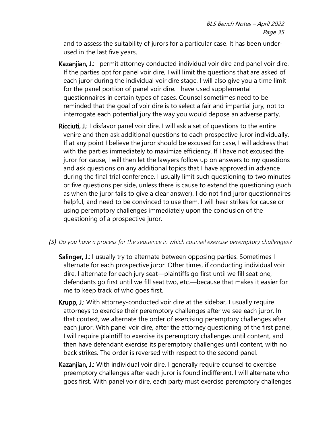and to assess the suitability of jurors for a particular case. It has been underused in the last five years.

- Kazanjian, J.: I permit attorney conducted individual voir dire and panel voir dire. If the parties opt for panel voir dire, I will limit the questions that are asked of each juror during the individual voir dire stage. I will also give you a time limit for the panel portion of panel voir dire. I have used supplemental questionnaires in certain types of cases. Counsel sometimes need to be reminded that the goal of voir dire is to select a fair and impartial jury, not to interrogate each potential jury the way you would depose an adverse party.
- Ricciuti, J.: I disfavor panel voir dire. I will ask a set of questions to the entire venire and then ask additional questions to each prospective juror individually. If at any point I believe the juror should be excused for case, I will address that with the parties immediately to maximize efficiency. If I have not excused the juror for cause, I will then let the lawyers follow up on answers to my questions and ask questions on any additional topics that I have approved in advance during the final trial conference. I usually limit such questioning to two minutes or five questions per side, unless there is cause to extend the questioning (such as when the juror fails to give a clear answer). I do not find juror questionnaires helpful, and need to be convinced to use them. I will hear strikes for cause or using peremptory challenges immediately upon the conclusion of the questioning of a prospective juror.
- <span id="page-42-0"></span>*(5) Do you have a process for the sequence in which counsel exercise peremptory challenges?*
	- Salinger, J.: I usually try to alternate between opposing parties. Sometimes I alternate for each prospective juror. Other times, if conducting individual voir dire, I alternate for each jury seat—plaintiffs go first until we fill seat one, defendants go first until we fill seat two, etc.—because that makes it easier for me to keep track of who goes first.
	- Krupp, J.: With attorney-conducted voir dire at the sidebar, I usually require attorneys to exercise their peremptory challenges after we see each juror. In that context, we alternate the order of exercising peremptory challenges after each juror. With panel voir dire, after the attorney questioning of the first panel, I will require plaintiff to exercise its peremptory challenges until content, and then have defendant exercise its peremptory challenges until content, with no back strikes. The order is reversed with respect to the second panel.
	- Kazanjian, J.: With individual voir dire, I generally require counsel to exercise preemptory challenges after each juror is found indifferent. I will alternate who goes first. With panel voir dire, each party must exercise peremptory challenges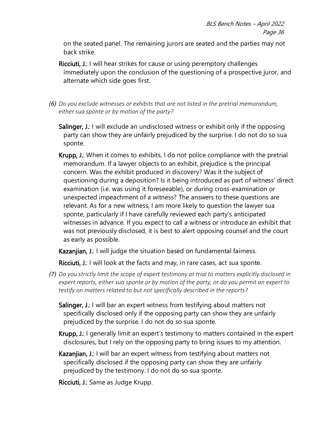on the seated panel. The remaining jurors are seated and the parties may not back strike.

- Ricciuti, J.: I will hear strikes for cause or using peremptory challenges immediately upon the conclusion of the questioning of a prospective juror, and alternate which side goes first.
- <span id="page-43-0"></span>*(6) Do you exclude witnesses or exhibits that are not listed in the pretrial memorandum, either sua sponte or by motion of the party?*
	- Salinger, J.: I will exclude an undisclosed witness or exhibit only if the opposing party can show they are unfairly prejudiced by the surprise. I do not do so sua sponte.
	- Krupp, J.: When it comes to exhibits, I do not police compliance with the pretrial memorandum. If a lawyer objects to an exhibit, prejudice is the principal concern. Was the exhibit produced in discovery? Was it the subject of questioning during a deposition? Is it being introduced as part of witness' direct examination (i.e. was using it foreseeable), or during cross-examination or unexpected impeachment of a witness? The answers to these questions are relevant. As for a new witness, I am more likely to question the lawyer sua sponte, particularly if I have carefully reviewed each party's anticipated witnesses in advance. If you expect to call a witness or introduce an exhibit that was not previously disclosed, it is best to alert opposing counsel and the court as early as possible.

Kazanjian, J.: I will judge the situation based on fundamental fairness.

Ricciuti, J.: I will look at the facts and may, in rare cases, act sua sponte.

- <span id="page-43-1"></span>*(7) Do you strictly limit the scope of expert testimony at trial to matters explicitly disclosed in expert reports, either sua sponte or by motion of the party, or do you permit an expert to testify on matters related to but not specifically described in the reports?*
	- Salinger, J.: I will bar an expert witness from testifying about matters not specifically disclosed only if the opposing party can show they are unfairly prejudiced by the surprise. I do not do so sua sponte.
	- Krupp, J.: I generally limit an expert's testimony to matters contained in the expert disclosures, but I rely on the opposing party to bring issues to my attention.
	- Kazanjian, J.: I will bar an expert witness from testifying about matters not specifically disclosed if the opposing party can show they are unfairly prejudiced by the testimony. I do not do so sua sponte.

Ricciuti, J.: Same as Judge Krupp.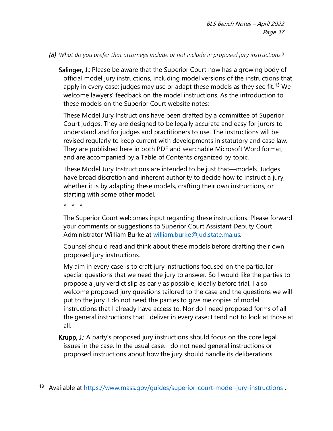#### <span id="page-44-0"></span>*(8) What do you prefer that attorneys include or not include in proposed jury instructions?*

Salinger, J.: Please be aware that the Superior Court now has a growing body of official model jury instructions, including model versions of the instructions that apply in every case; judges may use or adapt these models as they see fit.<sup>[13](#page-44-1)</sup> We welcome lawyers' feedback on the model instructions. As the introduction to these models on the Superior Court website notes:

These Model Jury Instructions have been drafted by a committee of Superior Court judges. They are designed to be legally accurate and easy for jurors to understand and for judges and practitioners to use. The instructions will be revised regularly to keep current with developments in statutory and case law. They are published here in both PDF and searchable Microsoft Word format, and are accompanied by a Table of Contents organized by topic.

These Model Jury Instructions are intended to be just that—models. Judges have broad discretion and inherent authority to decide how to instruct a jury, whether it is by adapting these models, crafting their own instructions, or starting with some other model.

\* \* \*

The Superior Court welcomes input regarding these instructions. Please forward your comments or suggestions to Superior Court Assistant Deputy Court Administrator William Burke at [william.burke@jud.state.ma.us.](mailto:william.burke@jud.state.ma.us)

Counsel should read and think about these models before drafting their own proposed jury instructions.

My aim in every case is to craft jury instructions focused on the particular special questions that we need the jury to answer. So I would like the parties to propose a jury verdict slip as early as possible, ideally before trial. I also welcome proposed jury questions tailored to the case and the questions we will put to the jury. I do not need the parties to give me copies of model instructions that I already have access to. Nor do I need proposed forms of all the general instructions that I deliver in every case; I tend not to look at those at all.

Krupp, J.: A party's proposed jury instructions should focus on the core legal issues in the case. In the usual case, I do not need general instructions or proposed instructions about how the jury should handle its deliberations.

<span id="page-44-1"></span><sup>13</sup> Available at<https://www.mass.gov/guides/superior-court-model-jury-instructions>.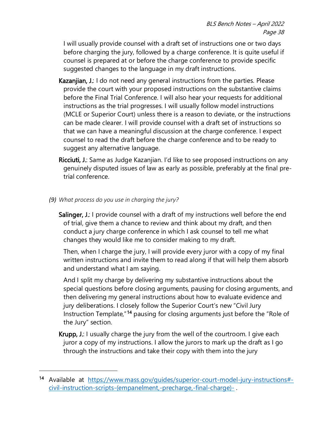I will usually provide counsel with a draft set of instructions one or two days before charging the jury, followed by a charge conference. It is quite useful if counsel is prepared at or before the charge conference to provide specific suggested changes to the language in my draft instructions.

- Kazanjian, J.: I do not need any general instructions from the parties. Please provide the court with your proposed instructions on the substantive claims before the Final Trial Conference. I will also hear your requests for additional instructions as the trial progresses. I will usually follow model instructions (MCLE or Superior Court) unless there is a reason to deviate, or the instructions can be made clearer. I will provide counsel with a draft set of instructions so that we can have a meaningful discussion at the charge conference. I expect counsel to read the draft before the charge conference and to be ready to suggest any alternative language.
- Ricciuti, J.: Same as Judge Kazanjian. I'd like to see proposed instructions on any genuinely disputed issues of law as early as possible, preferably at the final pretrial conference.
- <span id="page-45-0"></span>*(9) What process do you use in charging the jury?* 
	- Salinger, J.: I provide counsel with a draft of my instructions well before the end of trial, give them a chance to review and think about my draft, and then conduct a jury charge conference in which I ask counsel to tell me what changes they would like me to consider making to my draft.

Then, when I charge the jury, I will provide every juror with a copy of my final written instructions and invite them to read along if that will help them absorb and understand what I am saying.

And I split my charge by delivering my substantive instructions about the special questions before closing arguments, pausing for closing arguments, and then delivering my general instructions about how to evaluate evidence and jury deliberations. I closely follow the Superior Court's new "Civil Jury Instruction Template,"[14](#page-45-1) pausing for closing arguments just before the "Role of the Jury" section.

Krupp, J.: I usually charge the jury from the well of the courtroom. I give each juror a copy of my instructions. I allow the jurors to mark up the draft as I go through the instructions and take their copy with them into the jury

<span id="page-45-1"></span><sup>14</sup> Available at [https://www.mass.gov/guides/superior-court-model-jury-instructions#](https://www.mass.gov/guides/superior-court-model-jury-instructions#-civil-instruction-scripts-(empanelment,-precharge,-final-charge)-) [civil-instruction-scripts-\(empanelment,-precharge,-final-charge\)-](https://www.mass.gov/guides/superior-court-model-jury-instructions#-civil-instruction-scripts-(empanelment,-precharge,-final-charge)-) .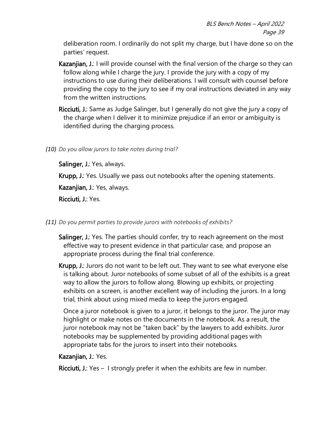deliberation room. I ordinarily do not split my charge, but I have done so on the parties' request.

- Kazanjian, J.: I will provide counsel with the final version of the charge so they can follow along while I charge the jury. I provide the jury with a copy of my instructions to use during their deliberations. I will consult with counsel before providing the copy to the jury to see if my oral instructions deviated in any way from the written instructions.
- Ricciuti, J.: Same as Judge Salinger, but I generally do not give the jury a copy of the charge when I deliver it to minimize prejudice if an error or ambiguity is identified during the charging process.
- <span id="page-46-0"></span>*(10) Do you allow jurors to take notes during trial?*

Salinger, J.: Yes, always.

Krupp, J.: Yes. Usually we pass out notebooks after the opening statements.

Kazanjian, J.: Yes, always.

Ricciuti, J.: Yes.

- <span id="page-46-1"></span>*(11) Do you permit parties to provide jurors with notebooks of exhibits?*
	- Salinger, J.: Yes. The parties should confer, try to reach agreement on the most effective way to present evidence in that particular case, and propose an appropriate process during the final trial conference.

Krupp, J.: Jurors do not want to be left out. They want to see what everyone else is talking about. Juror notebooks of some subset of all of the exhibits is a great way to allow the jurors to follow along. Blowing up exhibits, or projecting exhibits on a screen, is another excellent way of including the jurors. In a long trial, think about using mixed media to keep the jurors engaged.

Once a juror notebook is given to a juror, it belongs to the juror. The juror may highlight or make notes on the documents in the notebook. As a result, the juror notebook may not be "taken back" by the lawyers to add exhibits. Juror notebooks may be supplemented by providing additional pages with appropriate tabs for the jurors to insert into their notebooks.

#### Kazanjian, J.: Yes.

Ricciuti, J.: Yes – I strongly prefer it when the exhibits are few in number.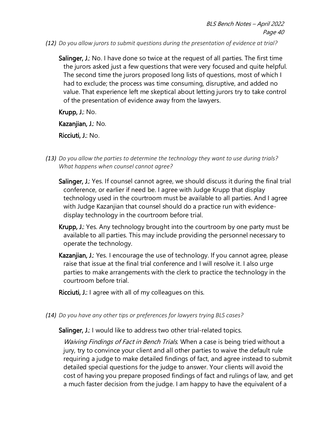<span id="page-47-0"></span>*(12) Do you allow jurors to submit questions during the presentation of evidence at trial?*

Salinger, J.: No. I have done so twice at the request of all parties. The first time the jurors asked just a few questions that were very focused and quite helpful. The second time the jurors proposed long lists of questions, most of which I had to exclude; the process was time consuming, disruptive, and added no value. That experience left me skeptical about letting jurors try to take control of the presentation of evidence away from the lawyers.

Krupp, J.: No.

Kazanjian, J.: No.

Ricciuti, J.: No.

- <span id="page-47-1"></span>*(13) Do you allow the parties to determine the technology they want to use during trials? What happens when counsel cannot agree?* 
	- Salinger, J.: Yes. If counsel cannot agree, we should discuss it during the final trial conference, or earlier if need be. I agree with Judge Krupp that display technology used in the courtroom must be available to all parties. And I agree with Judge Kazanjian that counsel should do a practice run with evidencedisplay technology in the courtroom before trial.
	- Krupp, J.: Yes. Any technology brought into the courtroom by one party must be available to all parties. This may include providing the personnel necessary to operate the technology.
	- Kazanjian, J.: Yes. I encourage the use of technology. If you cannot agree, please raise that issue at the final trial conference and I will resolve it. I also urge parties to make arrangements with the clerk to practice the technology in the courtroom before trial.
	- Ricciuti, J.: I agree with all of my colleagues on this.
- <span id="page-47-2"></span>*(14) Do you have any other tips or preferences for lawyers trying BLS cases?*

Salinger, J.: I would like to address two other trial-related topics.

Waiving Findings of Fact in Bench Trials. When a case is being tried without a jury, try to convince your client and all other parties to waive the default rule requiring a judge to make detailed findings of fact, and agree instead to submit detailed special questions for the judge to answer. Your clients will avoid the cost of having you prepare proposed findings of fact and rulings of law, and get a much faster decision from the judge. I am happy to have the equivalent of a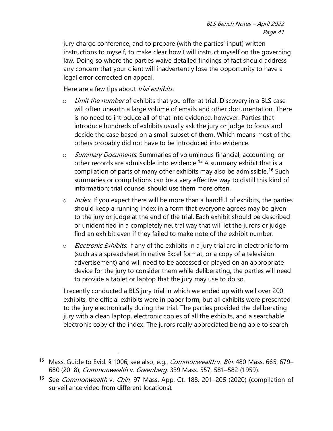jury charge conference, and to prepare (with the parties' input) written instructions to myself, to make clear how I will instruct myself on the governing law. Doing so where the parties waive detailed findings of fact should address any concern that your client will inadvertently lose the opportunity to have a legal error corrected on appeal.

Here are a few tips about *trial exhibits*.

- $\circ$  Limit the number of exhibits that you offer at trial. Discovery in a BLS case will often unearth a large volume of emails and other documentation. There is no need to introduce all of that into evidence, however. Parties that introduce hundreds of exhibits usually ask the jury or judge to focus and decide the case based on a small subset of them. Which means most of the others probably did not have to be introduced into evidence.
- o Summary Documents. Summaries of voluminous financial, accounting, or other records are admissible into evidence.[15](#page-48-0) A summary exhibit that is a compilation of parts of many other exhibits may also be admissible.<sup>[16](#page-48-1)</sup> Such summaries or compilations can be a very effective way to distill this kind of information; trial counsel should use them more often.
- $\circ$  *Index*. If you expect there will be more than a handful of exhibits, the parties should keep a running index in a form that everyone agrees may be given to the jury or judge at the end of the trial. Each exhibit should be described or unidentified in a completely neutral way that will let the jurors or judge find an exhibit even if they failed to make note of the exhibit number.
- $\circ$  *Electronic Exhibits*. If any of the exhibits in a jury trial are in electronic form (such as a spreadsheet in native Excel format, or a copy of a television advertisement) and will need to be accessed or played on an appropriate device for the jury to consider them while deliberating, the parties will need to provide a tablet or laptop that the jury may use to do so.

I recently conducted a BLS jury trial in which we ended up with well over 200 exhibits, the official exhibits were in paper form, but all exhibits were presented to the jury electronically during the trial. The parties provided the deliberating jury with a clean laptop, electronic copies of all the exhibits, and a searchable electronic copy of the index. The jurors really appreciated being able to search

<span id="page-48-0"></span><sup>&</sup>lt;sup>15</sup> Mass. Guide to Evid. § 1006; see also, e.g., *Commonwealth v. Bin*, 480 Mass. 665, 679– 680 (2018); Commonwealth v. Greenberg, 339 Mass. 557, 581-582 (1959).

<span id="page-48-1"></span><sup>&</sup>lt;sup>16</sup> See Commonwealth v. Chin, 97 Mass. App. Ct. 188, 201-205 (2020) (compilation of surveillance video from different locations).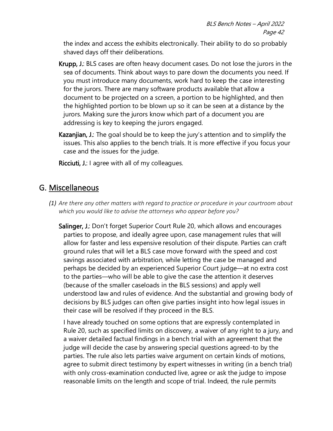the index and access the exhibits electronically. Their ability to do so probably shaved days off their deliberations.

- Krupp, J.: BLS cases are often heavy document cases. Do not lose the jurors in the sea of documents. Think about ways to pare down the documents you need. If you must introduce many documents, work hard to keep the case interesting for the jurors. There are many software products available that allow a document to be projected on a screen, a portion to be highlighted, and then the highlighted portion to be blown up so it can be seen at a distance by the jurors. Making sure the jurors know which part of a document you are addressing is key to keeping the jurors engaged.
- Kazanjian, J.: The goal should be to keep the jury's attention and to simplify the issues. This also applies to the bench trials. It is more effective if you focus your case and the issues for the judge.

Ricciuti, J.: I agree with all of my colleagues.

### <span id="page-49-0"></span>G. Miscellaneous

<span id="page-49-1"></span>*(1) Are there any other matters with regard to practice or procedure in your courtroom about which you would like to advise the attorneys who appear before you?* 

Salinger, J.: Don't forget Superior Court Rule 20, which allows and encourages parties to propose, and ideally agree upon, case management rules that will allow for faster and less expensive resolution of their dispute. Parties can craft ground rules that will let a BLS case move forward with the speed and cost savings associated with arbitration, while letting the case be managed and perhaps be decided by an experienced Superior Court judge—at no extra cost to the parties—who will be able to give the case the attention it deserves (because of the smaller caseloads in the BLS sessions) and apply well understood law and rules of evidence. And the substantial and growing body of decisions by BLS judges can often give parties insight into how legal issues in their case will be resolved if they proceed in the BLS.

I have already touched on some options that are expressly contemplated in Rule 20, such as specified limits on discovery, a waiver of any right to a jury, and a waiver detailed factual findings in a bench trial with an agreement that the judge will decide the case by answering special questions agreed-to by the parties. The rule also lets parties waive argument on certain kinds of motions, agree to submit direct testimony by expert witnesses in writing (in a bench trial) with only cross-examination conducted live, agree or ask the judge to impose reasonable limits on the length and scope of trial. Indeed, the rule permits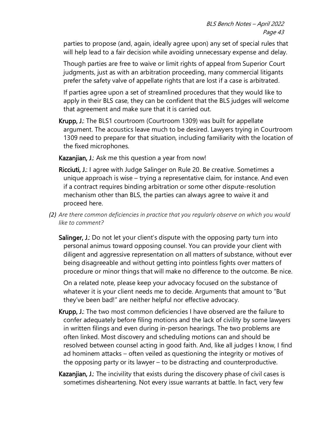parties to propose (and, again, ideally agree upon) any set of special rules that will help lead to a fair decision while avoiding unnecessary expense and delay.

Though parties are free to waive or limit rights of appeal from Superior Court judgments, just as with an arbitration proceeding, many commercial litigants prefer the safety valve of appellate rights that are lost if a case is arbitrated.

If parties agree upon a set of streamlined procedures that they would like to apply in their BLS case, they can be confident that the BLS judges will welcome that agreement and make sure that it is carried out.

Krupp, J.: The BLS1 courtroom (Courtroom 1309) was built for appellate argument. The acoustics leave much to be desired. Lawyers trying in Courtroom 1309 need to prepare for that situation, including familiarity with the location of the fixed microphones.

Kazanjian, J.: Ask me this question a year from now!

- Ricciuti, J.: I agree with Judge Salinger on Rule 20. Be creative. Sometimes a unique approach is wise – trying a representative claim, for instance. And even if a contract requires binding arbitration or some other dispute-resolution mechanism other than BLS, the parties can always agree to waive it and proceed here.
- <span id="page-50-0"></span>*(2) Are there common deficiencies in practice that you regularly observe on which you would like to comment?*
	- Salinger, J.: Do not let your client's dispute with the opposing party turn into personal animus toward opposing counsel. You can provide your client with diligent and aggressive representation on all matters of substance, without ever being disagreeable and without getting into pointless fights over matters of procedure or minor things that will make no difference to the outcome. Be nice.

On a related note, please keep your advocacy focused on the substance of whatever it is your client needs me to decide. Arguments that amount to "But they've been bad!" are neither helpful nor effective advocacy.

- Krupp, J.: The two most common deficiencies I have observed are the failure to confer adequately before filing motions and the lack of civility by some lawyers in written filings and even during in-person hearings. The two problems are often linked. Most discovery and scheduling motions can and should be resolved between counsel acting in good faith. And, like all judges I know, I find ad hominem attacks – often veiled as questioning the integrity or motives of the opposing party or its lawyer – to be distracting and counterproductive.
- Kazanjian, J.: The incivility that exists during the discovery phase of civil cases is sometimes disheartening. Not every issue warrants at battle. In fact, very few